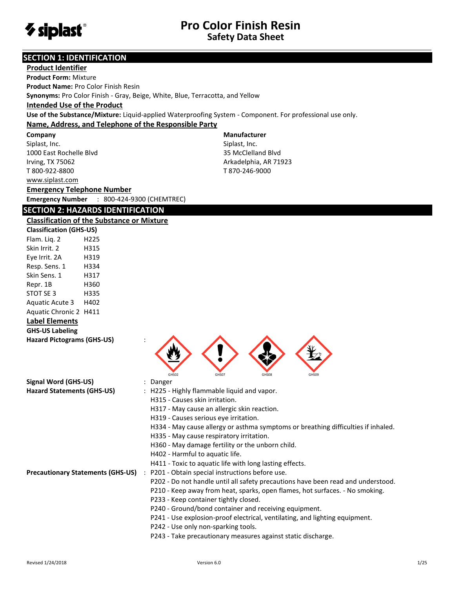

## **SECTION 1: IDENTIFICATION**

| <b>Product Identifier</b>                                                     |                                                                                                           |
|-------------------------------------------------------------------------------|-----------------------------------------------------------------------------------------------------------|
| <b>Product Form: Mixture</b>                                                  |                                                                                                           |
| <b>Product Name: Pro Color Finish Resin</b>                                   |                                                                                                           |
| Synonyms: Pro Color Finish - Gray, Beige, White, Blue, Terracotta, and Yellow |                                                                                                           |
| <b>Intended Use of the Product</b>                                            |                                                                                                           |
|                                                                               | Use of the Substance/Mixture: Liquid-applied Waterproofing System - Component. For professional use only. |
| Name, Address, and Telephone of the Responsible Party                         |                                                                                                           |
| Company                                                                       | <b>Manufacturer</b>                                                                                       |
| Siplast, Inc.                                                                 | Siplast, Inc.                                                                                             |
| 1000 East Rochelle Blvd                                                       | 35 McClelland Blvd                                                                                        |
| Irving, TX 75062                                                              | Arkadelphia, AR 71923                                                                                     |
| T 800-922-8800                                                                | T 870-246-9000                                                                                            |
| www.siplast.com                                                               |                                                                                                           |
| <b>Emergency Telephone Number</b>                                             |                                                                                                           |
| <b>Emergency Number</b><br>: 800-424-9300 (CHEMTREC)                          |                                                                                                           |
| <b>SECTION 2: HAZARDS IDENTIFICATION</b>                                      |                                                                                                           |
| <b>Classification of the Substance or Mixture</b>                             |                                                                                                           |
| <b>Classification (GHS-US)</b>                                                |                                                                                                           |
| Flam. Liq. 2<br>H <sub>225</sub>                                              |                                                                                                           |
| Skin Irrit. 2<br>H315                                                         |                                                                                                           |
| Eye Irrit. 2A<br>H319                                                         |                                                                                                           |
| Resp. Sens. 1<br>H334                                                         |                                                                                                           |
| Skin Sens. 1<br>H317                                                          |                                                                                                           |
| Repr. 1B<br>H360                                                              |                                                                                                           |
| STOT SE 3<br>H335                                                             |                                                                                                           |
| Aquatic Acute 3<br>H402                                                       |                                                                                                           |
| Aquatic Chronic 2 H411                                                        |                                                                                                           |
| <b>Label Elements</b>                                                         |                                                                                                           |
| <b>GHS-US Labeling</b>                                                        |                                                                                                           |
| <b>Hazard Pictograms (GHS-US)</b>                                             |                                                                                                           |
|                                                                               |                                                                                                           |
|                                                                               |                                                                                                           |
|                                                                               | GHS07<br>GHS08<br>GHS02<br>GHS09                                                                          |
| <b>Signal Word (GHS-US)</b>                                                   | Danger                                                                                                    |
| <b>Hazard Statements (GHS-US)</b>                                             | H225 - Highly flammable liquid and vapor.                                                                 |
|                                                                               | H315 - Causes skin irritation.                                                                            |
|                                                                               | H317 - May cause an allergic skin reaction.                                                               |
|                                                                               | H319 - Causes serious eye irritation.                                                                     |
|                                                                               | H334 - May cause allergy or asthma symptoms or breathing difficulties if inhaled.                         |
|                                                                               | H335 - May cause respiratory irritation.                                                                  |
|                                                                               | H360 - May damage fertility or the unborn child.                                                          |
|                                                                               | H402 - Harmful to aquatic life.                                                                           |
|                                                                               | H411 - Toxic to aquatic life with long lasting effects.                                                   |
| <b>Precautionary Statements (GHS-US)</b><br>$\ddot{\phantom{a}}$              | P201 - Obtain special instructions before use.                                                            |
|                                                                               | P202 - Do not handle until all safety precautions have been read and understood.                          |
|                                                                               | P210 - Keep away from heat, sparks, open flames, hot surfaces. - No smoking.                              |
|                                                                               | P233 - Keep container tightly closed.                                                                     |
|                                                                               | P240 - Ground/bond container and receiving equipment.                                                     |
|                                                                               | P241 - Use explosion-proof electrical, ventilating, and lighting equipment.                               |
|                                                                               | P242 - Use only non-sparking tools.<br>P243 - Take precautionary measures against static discharge.       |
|                                                                               |                                                                                                           |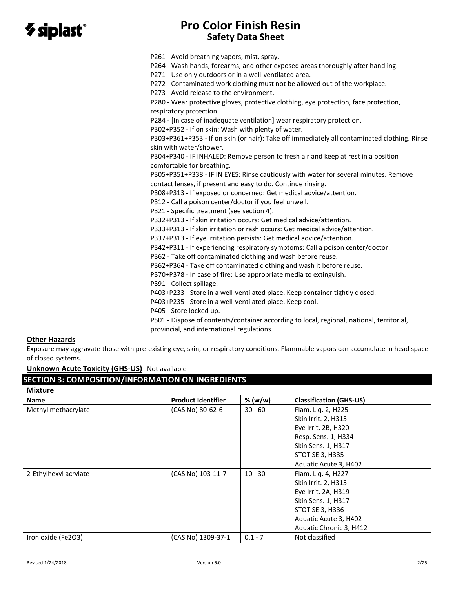P261 - Avoid breathing vapors, mist, spray. P264 - Wash hands, forearms, and other exposed areas thoroughly after handling. P271 - Use only outdoors or in a well-ventilated area. P272 - Contaminated work clothing must not be allowed out of the workplace. P273 - Avoid release to the environment. P280 - Wear protective gloves, protective clothing, eye protection, face protection, respiratory protection. P284 - [In case of inadequate ventilation] wear respiratory protection. P302+P352 - If on skin: Wash with plenty of water. P303+P361+P353 - If on skin (or hair): Take off immediately all contaminated clothing. Rinse skin with water/shower. P304+P340 - IF INHALED: Remove person to fresh air and keep at rest in a position comfortable for breathing. P305+P351+P338 - IF IN EYES: Rinse cautiously with water for several minutes. Remove contact lenses, if present and easy to do. Continue rinsing. P308+P313 - If exposed or concerned: Get medical advice/attention. P312 - Call a poison center/doctor if you feel unwell. P321 - Specific treatment (see section 4). P332+P313 - If skin irritation occurs: Get medical advice/attention. P333+P313 - If skin irritation or rash occurs: Get medical advice/attention. P337+P313 - If eye irritation persists: Get medical advice/attention. P342+P311 - If experiencing respiratory symptoms: Call a poison center/doctor. P362 - Take off contaminated clothing and wash before reuse. P362+P364 - Take off contaminated clothing and wash it before reuse. P370+P378 - In case of fire: Use appropriate media to extinguish. P391 - Collect spillage. P403+P233 - Store in a well-ventilated place. Keep container tightly closed. P403+P235 - Store in a well-ventilated place. Keep cool. P405 - Store locked up. P501 - Dispose of contents/container according to local, regional, national, territorial, provincial, and international regulations.

## **Other Hazards**

Exposure may aggravate those with pre-existing eye, skin, or respiratory conditions. Flammable vapors can accumulate in head space of closed systems.

**Unknown Acute Toxicity (GHS-US)** Not available

## **SECTION 3: COMPOSITION/INFORMATION ON INGREDIENTS**

| <b>Mixture</b>        |                           |           |                                |
|-----------------------|---------------------------|-----------|--------------------------------|
| <b>Name</b>           | <b>Product Identifier</b> | % (w/w)   | <b>Classification (GHS-US)</b> |
| Methyl methacrylate   | (CAS No) 80-62-6          | $30 - 60$ | Flam. Liq. 2, H225             |
|                       |                           |           | Skin Irrit. 2, H315            |
|                       |                           |           | Eye Irrit. 2B, H320            |
|                       |                           |           | Resp. Sens. 1, H334            |
|                       |                           |           | Skin Sens. 1, H317             |
|                       |                           |           | STOT SE 3, H335                |
|                       |                           |           | Aquatic Acute 3, H402          |
| 2-Ethylhexyl acrylate | (CAS No) 103-11-7         | $10 - 30$ | Flam. Liq. 4, H227             |
|                       |                           |           | Skin Irrit. 2, H315            |
|                       |                           |           | Eye Irrit. 2A, H319            |
|                       |                           |           | Skin Sens. 1, H317             |
|                       |                           |           | <b>STOT SE 3, H336</b>         |
|                       |                           |           | Aquatic Acute 3, H402          |
|                       |                           |           | Aquatic Chronic 3, H412        |
| Iron oxide (Fe2O3)    | (CAS No) 1309-37-1        | $0.1 - 7$ | Not classified                 |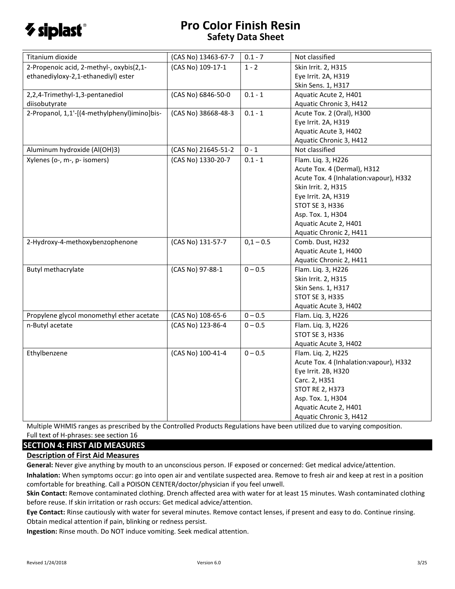

| 2-Propenoic acid, 2-methyl-, oxybis(2,1-<br>(CAS No) 109-17-1<br>$1 - 2$<br>Skin Irrit. 2, H315<br>ethanediyloxy-2,1-ethanediyl) ester<br>Eye Irrit. 2A, H319<br>Skin Sens. 1, H317<br>$0.1 - 1$<br>2,2,4-Trimethyl-1,3-pentanediol<br>(CAS No) 6846-50-0<br>Aquatic Acute 2, H401<br>diisobutyrate<br>Aquatic Chronic 3, H412<br>2-Propanol, 1,1'-[(4-methylphenyl)imino]bis-<br>(CAS No) 38668-48-3<br>$0.1 - 1$<br>Acute Tox. 2 (Oral), H300<br>Eye Irrit. 2A, H319<br>Aquatic Acute 3, H402 | Titanium dioxide | (CAS No) 13463-67-7 | $0.1 - 7$ | Not classified |
|-------------------------------------------------------------------------------------------------------------------------------------------------------------------------------------------------------------------------------------------------------------------------------------------------------------------------------------------------------------------------------------------------------------------------------------------------------------------------------------------------|------------------|---------------------|-----------|----------------|
|                                                                                                                                                                                                                                                                                                                                                                                                                                                                                                 |                  |                     |           |                |
|                                                                                                                                                                                                                                                                                                                                                                                                                                                                                                 |                  |                     |           |                |
|                                                                                                                                                                                                                                                                                                                                                                                                                                                                                                 |                  |                     |           |                |
|                                                                                                                                                                                                                                                                                                                                                                                                                                                                                                 |                  |                     |           |                |
|                                                                                                                                                                                                                                                                                                                                                                                                                                                                                                 |                  |                     |           |                |
|                                                                                                                                                                                                                                                                                                                                                                                                                                                                                                 |                  |                     |           |                |
|                                                                                                                                                                                                                                                                                                                                                                                                                                                                                                 |                  |                     |           |                |
|                                                                                                                                                                                                                                                                                                                                                                                                                                                                                                 |                  |                     |           |                |
|                                                                                                                                                                                                                                                                                                                                                                                                                                                                                                 |                  |                     |           |                |
| Aquatic Chronic 3, H412<br>Aluminum hydroxide (Al(OH)3)<br>$0 - 1$<br>Not classified                                                                                                                                                                                                                                                                                                                                                                                                            |                  |                     |           |                |
| (CAS No) 21645-51-2                                                                                                                                                                                                                                                                                                                                                                                                                                                                             |                  |                     |           |                |
| (CAS No) 1330-20-7<br>Xylenes (o-, m-, p- isomers)<br>$0.1 - 1$<br>Flam. Liq. 3, H226                                                                                                                                                                                                                                                                                                                                                                                                           |                  |                     |           |                |
| Acute Tox. 4 (Dermal), H312                                                                                                                                                                                                                                                                                                                                                                                                                                                                     |                  |                     |           |                |
| Acute Tox. 4 (Inhalation: vapour), H332                                                                                                                                                                                                                                                                                                                                                                                                                                                         |                  |                     |           |                |
| Skin Irrit. 2, H315                                                                                                                                                                                                                                                                                                                                                                                                                                                                             |                  |                     |           |                |
| Eye Irrit. 2A, H319                                                                                                                                                                                                                                                                                                                                                                                                                                                                             |                  |                     |           |                |
| STOT SE 3, H336                                                                                                                                                                                                                                                                                                                                                                                                                                                                                 |                  |                     |           |                |
| Asp. Tox. 1, H304                                                                                                                                                                                                                                                                                                                                                                                                                                                                               |                  |                     |           |                |
| Aquatic Acute 2, H401                                                                                                                                                                                                                                                                                                                                                                                                                                                                           |                  |                     |           |                |
| Aquatic Chronic 2, H411                                                                                                                                                                                                                                                                                                                                                                                                                                                                         |                  |                     |           |                |
| $0,1 - 0.5$<br>2-Hydroxy-4-methoxybenzophenone<br>(CAS No) 131-57-7<br>Comb. Dust, H232                                                                                                                                                                                                                                                                                                                                                                                                         |                  |                     |           |                |
| Aquatic Acute 1, H400                                                                                                                                                                                                                                                                                                                                                                                                                                                                           |                  |                     |           |                |
| Aquatic Chronic 2, H411                                                                                                                                                                                                                                                                                                                                                                                                                                                                         |                  |                     |           |                |
| $0 - 0.5$<br>Butyl methacrylate<br>(CAS No) 97-88-1<br>Flam. Liq. 3, H226                                                                                                                                                                                                                                                                                                                                                                                                                       |                  |                     |           |                |
| Skin Irrit. 2, H315                                                                                                                                                                                                                                                                                                                                                                                                                                                                             |                  |                     |           |                |
| Skin Sens. 1, H317                                                                                                                                                                                                                                                                                                                                                                                                                                                                              |                  |                     |           |                |
| STOT SE 3, H335                                                                                                                                                                                                                                                                                                                                                                                                                                                                                 |                  |                     |           |                |
| Aquatic Acute 3, H402                                                                                                                                                                                                                                                                                                                                                                                                                                                                           |                  |                     |           |                |
| $0 - 0.5$<br>Propylene glycol monomethyl ether acetate<br>(CAS No) 108-65-6<br>Flam. Liq. 3, H226                                                                                                                                                                                                                                                                                                                                                                                               |                  |                     |           |                |
| n-Butyl acetate<br>(CAS No) 123-86-4<br>$0 - 0.5$<br>Flam. Liq. 3, H226                                                                                                                                                                                                                                                                                                                                                                                                                         |                  |                     |           |                |
| STOT SE 3, H336                                                                                                                                                                                                                                                                                                                                                                                                                                                                                 |                  |                     |           |                |
| Aquatic Acute 3, H402                                                                                                                                                                                                                                                                                                                                                                                                                                                                           |                  |                     |           |                |
| (CAS No) 100-41-4<br>Ethylbenzene<br>$0 - 0.5$<br>Flam. Liq. 2, H225                                                                                                                                                                                                                                                                                                                                                                                                                            |                  |                     |           |                |
| Acute Tox. 4 (Inhalation: vapour), H332                                                                                                                                                                                                                                                                                                                                                                                                                                                         |                  |                     |           |                |
| Eye Irrit. 2B, H320                                                                                                                                                                                                                                                                                                                                                                                                                                                                             |                  |                     |           |                |
| Carc. 2, H351                                                                                                                                                                                                                                                                                                                                                                                                                                                                                   |                  |                     |           |                |
| <b>STOT RE 2, H373</b>                                                                                                                                                                                                                                                                                                                                                                                                                                                                          |                  |                     |           |                |
| Asp. Tox. 1, H304                                                                                                                                                                                                                                                                                                                                                                                                                                                                               |                  |                     |           |                |
| Aquatic Acute 2, H401                                                                                                                                                                                                                                                                                                                                                                                                                                                                           |                  |                     |           |                |
| Aquatic Chronic 3, H412                                                                                                                                                                                                                                                                                                                                                                                                                                                                         |                  |                     |           |                |

Multiple WHMIS ranges as prescribed by the Controlled Products Regulations have been utilized due to varying composition. Full text of H-phrases: see section 16

#### **SECTION 4: FIRST AID MEASURES**

#### **Description of First Aid Measures**

**General:** Never give anything by mouth to an unconscious person. IF exposed or concerned: Get medical advice/attention.

**Inhalation:** When symptoms occur: go into open air and ventilate suspected area. Remove to fresh air and keep at rest in a position comfortable for breathing. Call a POISON CENTER/doctor/physician if you feel unwell.

**Skin Contact:** Remove contaminated clothing. Drench affected area with water for at least 15 minutes. Wash contaminated clothing before reuse. If skin irritation or rash occurs: Get medical advice/attention.

**Eye Contact:** Rinse cautiously with water for several minutes. Remove contact lenses, if present and easy to do. Continue rinsing. Obtain medical attention if pain, blinking or redness persist.

**Ingestion:** Rinse mouth. Do NOT induce vomiting. Seek medical attention.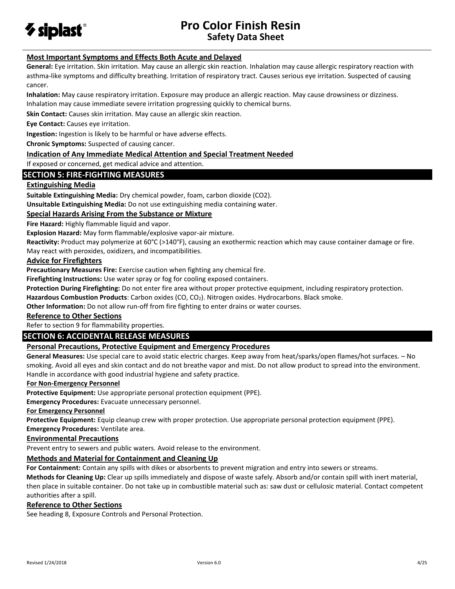

## **Most Important Symptoms and Effects Both Acute and Delayed**

**General:** Eye irritation. Skin irritation. May cause an allergic skin reaction. Inhalation may cause allergic respiratory reaction with asthma-like symptoms and difficulty breathing. Irritation of respiratory tract. Causes serious eye irritation. Suspected of causing cancer.

**Inhalation:** May cause respiratory irritation. Exposure may produce an allergic reaction. May cause drowsiness or dizziness. Inhalation may cause immediate severe irritation progressing quickly to chemical burns.

**Skin Contact:** Causes skin irritation. May cause an allergic skin reaction.

**Eye Contact:** Causes eye irritation.

**Ingestion:** Ingestion is likely to be harmful or have adverse effects.

**Chronic Symptoms:** Suspected of causing cancer.

#### **Indication of Any Immediate Medical Attention and Special Treatment Needed**

If exposed or concerned, get medical advice and attention.

#### **SECTION 5: FIRE-FIGHTING MEASURES**

#### **Extinguishing Media**

**Suitable Extinguishing Media:** Dry chemical powder, foam, carbon dioxide (CO2).

**Unsuitable Extinguishing Media:** Do not use extinguishing media containing water.

#### **Special Hazards Arising From the Substance or Mixture**

**Fire Hazard:** Highly flammable liquid and vapor.

**Explosion Hazard:** May form flammable/explosive vapor-air mixture.

**Reactivity:** Product may polymerize at 60°C (>140°F), causing an exothermic reaction which may cause container damage or fire. May react with peroxides, oxidizers, and incompatibilities.

#### **Advice for Firefighters**

**Precautionary Measures Fire:** Exercise caution when fighting any chemical fire.

**Firefighting Instructions:** Use water spray or fog for cooling exposed containers.

**Protection During Firefighting:** Do not enter fire area without proper protective equipment, including respiratory protection.

**Hazardous Combustion Products**: Carbon oxides (CO, CO2). Nitrogen oxides. Hydrocarbons. Black smoke.

**Other Information:** Do not allow run-off from fire fighting to enter drains or water courses.

#### **Reference to Other Sections**

Refer to section 9 for flammability properties.

## **SECTION 6: ACCIDENTAL RELEASE MEASURES**

#### **Personal Precautions, Protective Equipment and Emergency Procedures**

**General Measures:** Use special care to avoid static electric charges. Keep away from heat/sparks/open flames/hot surfaces. – No smoking. Avoid all eyes and skin contact and do not breathe vapor and mist. Do not allow product to spread into the environment. Handle in accordance with good industrial hygiene and safety practice.

#### **For Non-Emergency Personnel**

**Protective Equipment:** Use appropriate personal protection equipment (PPE).

**Emergency Procedures:** Evacuate unnecessary personnel.

**For Emergency Personnel**

**Protective Equipment:** Equip cleanup crew with proper protection. Use appropriate personal protection equipment (PPE).

**Emergency Procedures:** Ventilate area.

#### **Environmental Precautions**

Prevent entry to sewers and public waters. Avoid release to the environment.

#### **Methods and Material for Containment and Cleaning Up**

**For Containment:** Contain any spills with dikes or absorbents to prevent migration and entry into sewers or streams.

**Methods for Cleaning Up:** Clear up spills immediately and dispose of waste safely. Absorb and/or contain spill with inert material, then place in suitable container. Do not take up in combustible material such as: saw dust or cellulosic material. Contact competent authorities after a spill.

#### **Reference to Other Sections**

See heading 8, Exposure Controls and Personal Protection.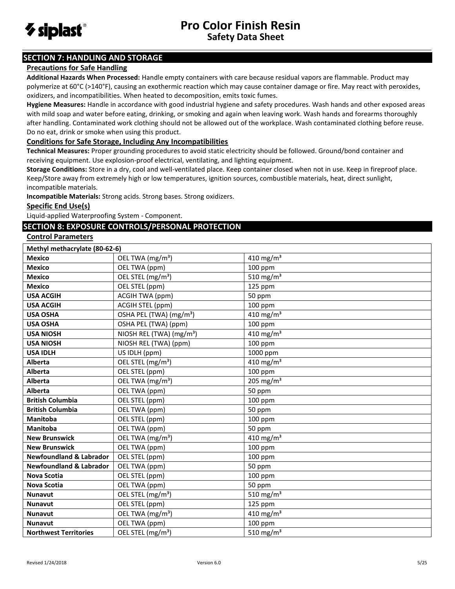

## **SECTION 7: HANDLING AND STORAGE**

#### **Precautions for Safe Handling**

**Additional Hazards When Processed:** Handle empty containers with care because residual vapors are flammable. Product may polymerize at 60°C (>140°F), causing an exothermic reaction which may cause container damage or fire. May react with peroxides, oxidizers, and incompatibilities. When heated to decomposition, emits toxic fumes.

**Hygiene Measures:** Handle in accordance with good industrial hygiene and safety procedures. Wash hands and other exposed areas with mild soap and water before eating, drinking, or smoking and again when leaving work. Wash hands and forearms thoroughly after handling. Contaminated work clothing should not be allowed out of the workplace. Wash contaminated clothing before reuse. Do no eat, drink or smoke when using this product.

#### **Conditions for Safe Storage, Including Any Incompatibilities**

**Technical Measures:** Proper grounding procedures to avoid static electricity should be followed. Ground/bond container and receiving equipment. Use explosion-proof electrical, ventilating, and lighting equipment.

**Storage Conditions:** Store in a dry, cool and well-ventilated place. Keep container closed when not in use. Keep in fireproof place. Keep/Store away from extremely high or low temperatures, ignition sources, combustible materials, heat, direct sunlight, incompatible materials.

**Incompatible Materials:** Strong acids. Strong bases. Strong oxidizers.

#### **Specific End Use(s)**

Liquid-applied Waterproofing System - Component.

## **SECTION 8: EXPOSURE CONTROLS/PERSONAL PROTECTION**

#### **Control Parameters**

| Methyl methacrylate (80-62-6)      |                                      |                       |
|------------------------------------|--------------------------------------|-----------------------|
| <b>Mexico</b>                      | OEL TWA (mg/m <sup>3</sup> )         | 410 mg/m <sup>3</sup> |
| <b>Mexico</b>                      | OEL TWA (ppm)                        | $100$ ppm             |
| <b>Mexico</b>                      | OEL STEL (mg/m <sup>3</sup> )        | 510 mg/m <sup>3</sup> |
| <b>Mexico</b>                      | OEL STEL (ppm)                       | 125 ppm               |
| <b>USA ACGIH</b>                   | <b>ACGIH TWA (ppm)</b>               | 50 ppm                |
| <b>USA ACGIH</b>                   | ACGIH STEL (ppm)                     | 100 ppm               |
| <b>USA OSHA</b>                    | OSHA PEL (TWA) (mg/m <sup>3</sup> )  | 410 mg/m <sup>3</sup> |
| <b>USA OSHA</b>                    | OSHA PEL (TWA) (ppm)                 | 100 ppm               |
| <b>USA NIOSH</b>                   | NIOSH REL (TWA) (mg/m <sup>3</sup> ) | 410 mg/m <sup>3</sup> |
| <b>USA NIOSH</b>                   | NIOSH REL (TWA) (ppm)                | $100$ ppm             |
| <b>USA IDLH</b>                    | US IDLH (ppm)                        | 1000 ppm              |
| Alberta                            | OEL STEL (mg/m <sup>3</sup> )        | 410 mg/m <sup>3</sup> |
| <b>Alberta</b>                     | OEL STEL (ppm)                       | $100$ ppm             |
| Alberta                            | OEL TWA (mg/m <sup>3</sup> )         | 205 mg/m <sup>3</sup> |
| <b>Alberta</b>                     | OEL TWA (ppm)                        | 50 ppm                |
| <b>British Columbia</b>            | OEL STEL (ppm)                       | 100 ppm               |
| <b>British Columbia</b>            | OEL TWA (ppm)                        | 50 ppm                |
| Manitoba                           | OEL STEL (ppm)                       | 100 ppm               |
| <b>Manitoba</b>                    | OEL TWA (ppm)                        | 50 ppm                |
| <b>New Brunswick</b>               | OEL TWA (mg/m <sup>3</sup> )         | 410 mg/m <sup>3</sup> |
| <b>New Brunswick</b>               | OEL TWA (ppm)                        | $100$ ppm             |
| <b>Newfoundland &amp; Labrador</b> | OEL STEL (ppm)                       | 100 ppm               |
| <b>Newfoundland &amp; Labrador</b> | OEL TWA (ppm)                        | 50 ppm                |
| <b>Nova Scotia</b>                 | OEL STEL (ppm)                       | $100$ ppm             |
| <b>Nova Scotia</b>                 | OEL TWA (ppm)                        | 50 ppm                |
| <b>Nunavut</b>                     | OEL STEL (mg/m <sup>3</sup> )        | 510 mg/m <sup>3</sup> |
| <b>Nunavut</b>                     | OEL STEL (ppm)                       | 125 ppm               |
| <b>Nunavut</b>                     | OEL TWA (mg/m <sup>3</sup> )         | 410 mg/m <sup>3</sup> |
| <b>Nunavut</b>                     | OEL TWA (ppm)                        | $100$ ppm             |
| <b>Northwest Territories</b>       | OEL STEL (mg/m <sup>3</sup> )        | 510 mg/m <sup>3</sup> |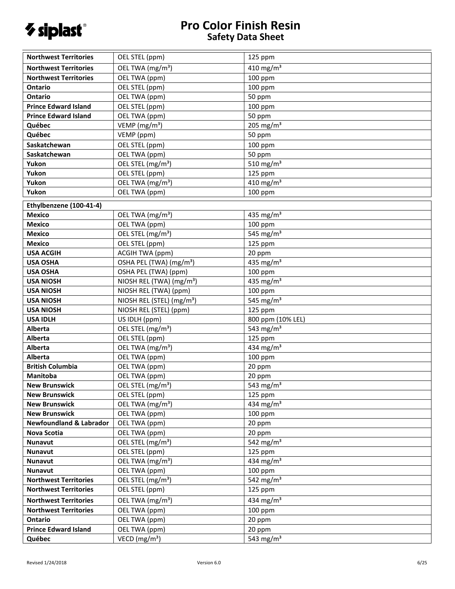

| <b>Northwest Territories</b>       | OEL STEL (ppm)                        | 125 ppm                           |
|------------------------------------|---------------------------------------|-----------------------------------|
| <b>Northwest Territories</b>       | OEL TWA (mg/m <sup>3</sup> )          | 410 mg/m $3$                      |
| <b>Northwest Territories</b>       | OEL TWA (ppm)                         | 100 ppm                           |
| Ontario                            | OEL STEL (ppm)                        | $100$ ppm                         |
| <b>Ontario</b>                     | OEL TWA (ppm)                         | 50 ppm                            |
| <b>Prince Edward Island</b>        | OEL STEL (ppm)                        | $100$ ppm                         |
| <b>Prince Edward Island</b>        | OEL TWA (ppm)                         | 50 ppm                            |
| Québec                             | VEMP ( $mg/m3$ )                      | 205 mg/m $3$                      |
| Québec                             | VEMP (ppm)                            | 50 ppm                            |
| Saskatchewan                       | OEL STEL (ppm)                        | 100 ppm                           |
| Saskatchewan                       | OEL TWA (ppm)                         | 50 ppm                            |
| Yukon                              | OEL STEL (mg/m <sup>3</sup> )         | 510 mg/m $3$                      |
| Yukon                              | OEL STEL (ppm)                        | 125 ppm                           |
| Yukon                              | OEL TWA (mg/m <sup>3</sup> )          | $\frac{1}{410}$ mg/m <sup>3</sup> |
| Yukon                              | OEL TWA (ppm)                         | $100$ ppm                         |
| Ethylbenzene (100-41-4)            |                                       |                                   |
| <b>Mexico</b>                      | OEL TWA (mg/m <sup>3</sup> )          | 435 mg/m <sup>3</sup>             |
| <b>Mexico</b>                      | OEL TWA (ppm)                         | 100 ppm                           |
| <b>Mexico</b>                      | OEL STEL (mg/m <sup>3</sup> )         | 545 mg/ $m3$                      |
| <b>Mexico</b>                      | OEL STEL (ppm)                        | 125 ppm                           |
| <b>USA ACGIH</b>                   | <b>ACGIH TWA (ppm)</b>                | 20 ppm                            |
| <b>USA OSHA</b>                    | OSHA PEL (TWA) (mg/m <sup>3</sup> )   | $435 \text{ mg/m}^3$              |
| <b>USA OSHA</b>                    | OSHA PEL (TWA) (ppm)                  | 100 ppm                           |
| <b>USA NIOSH</b>                   | NIOSH REL (TWA) (mg/m <sup>3</sup> )  | $435 \text{ mg/m}^3$              |
| <b>USA NIOSH</b>                   | NIOSH REL (TWA) (ppm)                 | 100 ppm                           |
| <b>USA NIOSH</b>                   | NIOSH REL (STEL) (mg/m <sup>3</sup> ) | 545 mg/ $m3$                      |
| <b>USA NIOSH</b>                   | NIOSH REL (STEL) (ppm)                | 125 ppm                           |
| <b>USA IDLH</b>                    | US IDLH (ppm)                         | 800 ppm (10% LEL)                 |
| Alberta                            | OEL STEL (mg/m <sup>3</sup> )         | 543 $mg/m3$                       |
| Alberta                            | OEL STEL (ppm)                        | 125 ppm                           |
| Alberta                            | OEL TWA (mg/m <sup>3</sup> )          | 434 mg/m <sup>3</sup>             |
| Alberta                            | OEL TWA (ppm)                         | 100 ppm                           |
| <b>British Columbia</b>            | OEL TWA (ppm)                         | 20 ppm                            |
| Manitoba                           | OEL TWA (ppm)                         | 20 ppm                            |
| <b>New Brunswick</b>               | OEL STEL (mg/m <sup>3</sup> )         | 543 mg/m $3$                      |
| <b>New Brunswick</b>               | OEL STEL (ppm)                        | 125 ppm                           |
| <b>New Brunswick</b>               | OEL TWA (mg/m <sup>3</sup> )          | 434 mg/m $3$                      |
| <b>New Brunswick</b>               | OEL TWA (ppm)                         | $100$ ppm                         |
| <b>Newfoundland &amp; Labrador</b> | OEL TWA (ppm)<br>OEL TWA (ppm)        | 20 ppm                            |
| <b>Nova Scotia</b><br>Nunavut      | OEL STEL (mg/m <sup>3</sup> )         | 20 ppm<br>542 mg/m $3$            |
| Nunavut                            | OEL STEL (ppm)                        | 125 ppm                           |
| <b>Nunavut</b>                     | OEL TWA (mg/m <sup>3</sup> )          | 434 mg/m <sup>3</sup>             |
| Nunavut                            | OEL TWA (ppm)                         | $100$ ppm                         |
| <b>Northwest Territories</b>       | OEL STEL (mg/m <sup>3</sup> )         | 542 mg/m <sup>3</sup>             |
| <b>Northwest Territories</b>       | OEL STEL (ppm)                        | 125 ppm                           |
| <b>Northwest Territories</b>       | OEL TWA (mg/m <sup>3</sup> )          | 434 mg/m <sup>3</sup>             |
| <b>Northwest Territories</b>       | OEL TWA (ppm)                         | $100$ ppm                         |
| Ontario                            | OEL TWA (ppm)                         | 20 ppm                            |
| <b>Prince Edward Island</b>        | OEL TWA (ppm)                         | 20 ppm                            |
| Québec                             | VECD ( $mg/m3$ )                      | 543 mg/m <sup>3</sup>             |
|                                    |                                       |                                   |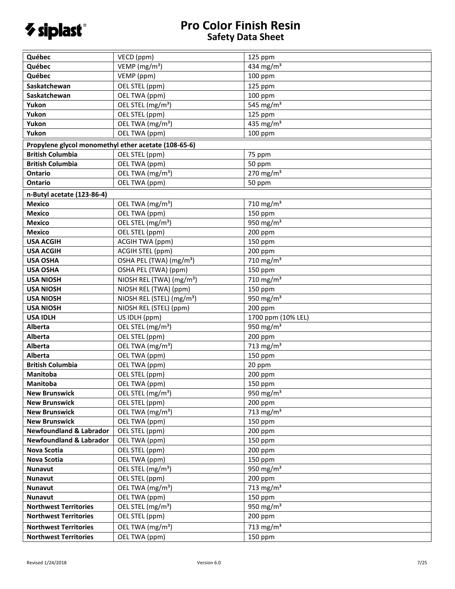

| Québec                                               | VECD (ppm)                            | 125 ppm                           |
|------------------------------------------------------|---------------------------------------|-----------------------------------|
| Québec                                               | VEMP (mg/m <sup>3</sup> )             | 434 mg/m <sup>3</sup>             |
| Québec                                               | VEMP (ppm)                            | $100$ ppm                         |
| Saskatchewan                                         |                                       |                                   |
|                                                      | OEL STEL (ppm)                        | 125 ppm                           |
| Saskatchewan                                         | OEL TWA (ppm)                         | 100 ppm                           |
| Yukon                                                | OEL STEL (mg/m <sup>3</sup> )         | 545 mg/m <sup>3</sup>             |
| Yukon                                                | OEL STEL (ppm)                        | 125 ppm                           |
| Yukon                                                | OEL TWA (mg/m <sup>3</sup> )          | 435 mg/m <sup>3</sup>             |
| Yukon                                                | OEL TWA (ppm)                         | $100$ ppm                         |
| Propylene glycol monomethyl ether acetate (108-65-6) |                                       |                                   |
| <b>British Columbia</b>                              | OEL STEL (ppm)                        | 75 ppm                            |
| <b>British Columbia</b>                              | OEL TWA (ppm)                         | 50 ppm                            |
| <b>Ontario</b>                                       | OEL TWA (mg/m <sup>3</sup> )          | 270 mg/m $3$                      |
| Ontario                                              | OEL TWA (ppm)                         | 50 ppm                            |
| n-Butyl acetate (123-86-4)                           |                                       |                                   |
| <b>Mexico</b>                                        | OEL TWA (mg/m <sup>3</sup> )          | 710 mg/m $3$                      |
| <b>Mexico</b>                                        | OEL TWA (ppm)                         | 150 ppm                           |
| <b>Mexico</b>                                        | OEL STEL (mg/m <sup>3</sup> )         | $\frac{1}{950}$ mg/m <sup>3</sup> |
| <b>Mexico</b>                                        | OEL STEL (ppm)                        | 200 ppm                           |
| <b>USA ACGIH</b>                                     | <b>ACGIH TWA (ppm)</b>                | 150 ppm                           |
| <b>USA ACGIH</b>                                     | ACGIH STEL (ppm)                      | 200 ppm                           |
| <b>USA OSHA</b>                                      | OSHA PEL (TWA) (mg/m <sup>3</sup> )   | 710 mg/m $3$                      |
| <b>USA OSHA</b>                                      | OSHA PEL (TWA) (ppm)                  | 150 ppm                           |
| <b>USA NIOSH</b>                                     | NIOSH REL (TWA) (mg/m <sup>3</sup> )  | 710 mg/m $3$                      |
| <b>USA NIOSH</b>                                     | NIOSH REL (TWA) (ppm)                 | 150 ppm                           |
| <b>USA NIOSH</b>                                     | NIOSH REL (STEL) (mg/m <sup>3</sup> ) | $950 \text{ mg/m}^3$              |
| <b>USA NIOSH</b>                                     | NIOSH REL (STEL) (ppm)                | 200 ppm                           |
| <b>USA IDLH</b>                                      | US IDLH (ppm)                         | 1700 ppm (10% LEL)                |
| Alberta                                              | OEL STEL (mg/m <sup>3</sup> )         | 950 mg/m $3$                      |
| <b>Alberta</b>                                       | OEL STEL (ppm)                        | 200 ppm                           |
| Alberta                                              | OEL TWA (mg/m <sup>3</sup> )          | 713 mg/m <sup>3</sup>             |
| Alberta                                              | OEL TWA (ppm)                         | 150 ppm                           |
| <b>British Columbia</b>                              | OEL TWA (ppm)                         | 20 ppm                            |
| Manitoba                                             | OEL STEL (ppm)                        | 200 ppm                           |
| Manitoba                                             | OEL TWA (ppm)                         | 150 ppm                           |
| <b>New Brunswick</b>                                 | OEL STEL (mg/m <sup>3</sup> )         | 950 mg/m $3$                      |
| <b>New Brunswick</b>                                 | OEL STEL (ppm)                        | 200 ppm                           |
| <b>New Brunswick</b>                                 | OEL TWA (mg/m <sup>3</sup> )          | 713 mg/m <sup>3</sup>             |
| <b>New Brunswick</b>                                 | OEL TWA (ppm)                         | 150 ppm                           |
| <b>Newfoundland &amp; Labrador</b>                   | OEL STEL (ppm)                        | 200 ppm                           |
| <b>Newfoundland &amp; Labrador</b>                   | OEL TWA (ppm)                         | 150 ppm                           |
| Nova Scotia                                          | OEL STEL (ppm)                        | 200 ppm                           |
| <b>Nova Scotia</b>                                   | OEL TWA (ppm)                         | 150 ppm                           |
| Nunavut                                              | OEL STEL (mg/m <sup>3</sup> )         | 950 mg/m <sup>3</sup>             |
| <b>Nunavut</b>                                       | OEL STEL (ppm)                        | 200 ppm                           |
| Nunavut                                              | OEL TWA (mg/m <sup>3</sup> )          | 713 mg/m <sup>3</sup>             |
| <b>Nunavut</b>                                       | OEL TWA (ppm)                         | 150 ppm                           |
| <b>Northwest Territories</b>                         | OEL STEL (mg/m <sup>3</sup> )         | 950 mg/m <sup>3</sup>             |
| <b>Northwest Territories</b>                         | OEL STEL (ppm)                        | 200 ppm                           |
|                                                      |                                       |                                   |
| <b>Northwest Territories</b>                         | OEL TWA (mg/m <sup>3</sup> )          | 713 mg/m <sup>3</sup>             |
| <b>Northwest Territories</b>                         | OEL TWA (ppm)                         | 150 ppm                           |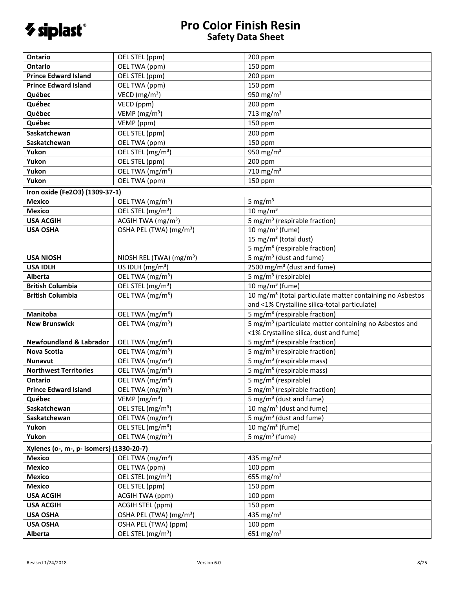

| Ontario                                  | OEL STEL (ppm)                       | 200 ppm                                                               |
|------------------------------------------|--------------------------------------|-----------------------------------------------------------------------|
| <b>Ontario</b>                           | OEL TWA (ppm)                        | 150 ppm                                                               |
| <b>Prince Edward Island</b>              | OEL STEL (ppm)                       | 200 ppm                                                               |
| <b>Prince Edward Island</b>              | OEL TWA (ppm)                        | 150 ppm                                                               |
| Québec                                   | VECD (mg/m <sup>3</sup> )            | 950 mg/m <sup>3</sup>                                                 |
| Québec                                   | VECD (ppm)                           | 200 ppm                                                               |
| Québec                                   | VEMP ( $mg/m3$ )                     | 713 mg/m $3$                                                          |
| Québec                                   | VEMP (ppm)                           | 150 ppm                                                               |
| Saskatchewan                             | OEL STEL (ppm)                       | 200 ppm                                                               |
| Saskatchewan                             | OEL TWA (ppm)                        | 150 ppm                                                               |
| Yukon                                    | OEL STEL (mg/m <sup>3</sup> )        | 950 mg/m $3$                                                          |
| Yukon                                    | OEL STEL (ppm)                       | 200 ppm                                                               |
| Yukon                                    | OEL TWA (mg/m <sup>3</sup> )         | 710 mg/m <sup>3</sup>                                                 |
| Yukon                                    | OEL TWA (ppm)                        | 150 ppm                                                               |
| Iron oxide (Fe2O3) (1309-37-1)           |                                      |                                                                       |
| <b>Mexico</b>                            | OEL TWA (mg/m <sup>3</sup> )         | 5 mg/ $m3$                                                            |
| <b>Mexico</b>                            | OEL STEL (mg/m <sup>3</sup> )        | $10 \text{ mg/m}^3$                                                   |
| <b>USA ACGIH</b>                         | ACGIH TWA (mg/m <sup>3</sup> )       | 5 mg/m <sup>3</sup> (respirable fraction)                             |
| <b>USA OSHA</b>                          | OSHA PEL (TWA) (mg/m <sup>3</sup> )  | 10 mg/m <sup>3</sup> (fume)                                           |
|                                          |                                      | 15 mg/m <sup>3</sup> (total dust)                                     |
|                                          |                                      |                                                                       |
|                                          |                                      | 5 mg/m <sup>3</sup> (respirable fraction)                             |
| <b>USA NIOSH</b>                         | NIOSH REL (TWA) (mg/m <sup>3</sup> ) | 5 mg/m <sup>3</sup> (dust and fume)                                   |
| <b>USA IDLH</b>                          | US IDLH $(mg/m3)$                    | 2500 mg/m <sup>3</sup> (dust and fume)                                |
| Alberta                                  | OEL TWA (mg/m <sup>3</sup> )         | 5 mg/m <sup>3</sup> (respirable)                                      |
| <b>British Columbia</b>                  | OEL STEL (mg/m <sup>3</sup> )        | 10 mg/m <sup>3</sup> (fume)                                           |
| <b>British Columbia</b>                  | OEL TWA (mg/m <sup>3</sup> )         | 10 mg/m <sup>3</sup> (total particulate matter containing no Asbestos |
|                                          |                                      | and <1% Crystalline silica-total particulate)                         |
| <b>Manitoba</b>                          | OEL TWA (mg/m <sup>3</sup> )         | 5 mg/m <sup>3</sup> (respirable fraction)                             |
| <b>New Brunswick</b>                     | OEL TWA (mg/m <sup>3</sup> )         | 5 mg/m <sup>3</sup> (particulate matter containing no Asbestos and    |
|                                          |                                      | <1% Crystalline silica, dust and fume)                                |
| <b>Newfoundland &amp; Labrador</b>       | OEL TWA (mg/m <sup>3</sup> )         | 5 mg/m <sup>3</sup> (respirable fraction)                             |
| <b>Nova Scotia</b>                       | OEL TWA (mg/m <sup>3</sup> )         | 5 mg/m <sup>3</sup> (respirable fraction)                             |
| Nunavut                                  | OEL TWA (mg/m <sup>3</sup> )         | 5 mg/m <sup>3</sup> (respirable mass)                                 |
| <b>Northwest Territories</b>             | OEL TWA (mg/m <sup>3</sup> )         | $\frac{1}{5}$ mg/m <sup>3</sup> (respirable mass)                     |
| <b>Ontario</b>                           | OEL TWA (mg/m <sup>3</sup> )         | 5 mg/m <sup>3</sup> (respirable)                                      |
| <b>Prince Edward Island</b>              | OEL TWA (mg/m <sup>3</sup> )         | 5 mg/m <sup>3</sup> (respirable fraction)                             |
| Québec                                   | VEMP ( $mg/m3$ )                     | 5 mg/m <sup>3</sup> (dust and fume)                                   |
| Saskatchewan                             | OEL STEL (mg/m <sup>3</sup> )        | 10 mg/m <sup>3</sup> (dust and fume)                                  |
| Saskatchewan                             | OEL TWA (mg/m <sup>3</sup> )         | 5 mg/m <sup>3</sup> (dust and fume)                                   |
| Yukon                                    | OEL STEL (mg/m <sup>3</sup> )        | 10 mg/m $3$ (fume)                                                    |
| Yukon                                    | OEL TWA (mg/m <sup>3</sup> )         | 5 mg/m <sup>3</sup> (fume)                                            |
| Xylenes (o-, m-, p- isomers) (1330-20-7) |                                      |                                                                       |
| <b>Mexico</b>                            | OEL TWA (mg/m <sup>3</sup> )         | 435 mg/m <sup>3</sup>                                                 |
| <b>Mexico</b>                            | OEL TWA (ppm)                        | 100 ppm                                                               |
| <b>Mexico</b>                            | OEL STEL (mg/m <sup>3</sup> )        | 655 mg/m <sup>3</sup>                                                 |
| <b>Mexico</b>                            | OEL STEL (ppm)                       | 150 ppm                                                               |
| <b>USA ACGIH</b>                         | <b>ACGIH TWA (ppm)</b>               | 100 ppm                                                               |
| <b>USA ACGIH</b>                         | ACGIH STEL (ppm)                     | 150 ppm                                                               |
| <b>USA OSHA</b>                          | OSHA PEL (TWA) (mg/m <sup>3</sup> )  | 435 mg/ $m3$                                                          |
| <b>USA OSHA</b>                          | OSHA PEL (TWA) (ppm)                 | 100 ppm                                                               |
|                                          | OEL STEL (mg/m <sup>3</sup> )        | $651$ mg/m <sup>3</sup>                                               |
| <b>Alberta</b>                           |                                      |                                                                       |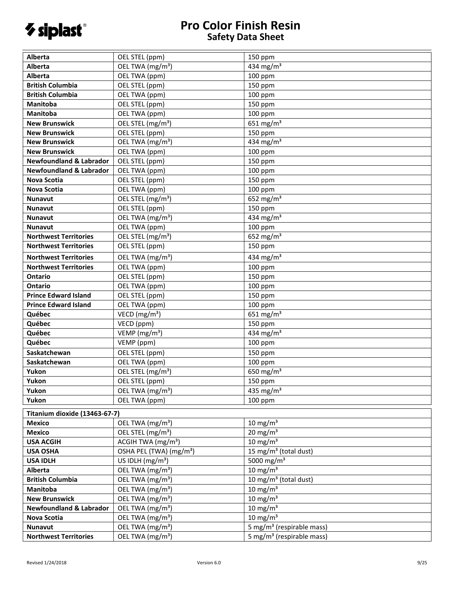

| Alberta                            | OEL STEL (ppm)                      | 150 ppm                               |  |  |
|------------------------------------|-------------------------------------|---------------------------------------|--|--|
| Alberta                            | OEL TWA (mg/m <sup>3</sup> )        | 434 mg/m <sup>3</sup>                 |  |  |
| <b>Alberta</b>                     | OEL TWA (ppm)                       | 100 ppm                               |  |  |
| <b>British Columbia</b>            | OEL STEL (ppm)                      | 150 ppm                               |  |  |
| <b>British Columbia</b>            | OEL TWA (ppm)                       | 100 ppm                               |  |  |
| Manitoba                           | OEL STEL (ppm)                      | 150 ppm                               |  |  |
| <b>Manitoba</b>                    | OEL TWA (ppm)                       | 100 ppm                               |  |  |
| <b>New Brunswick</b>               | OEL STEL (mg/m <sup>3</sup> )       | 651 mg/m <sup>3</sup>                 |  |  |
| <b>New Brunswick</b>               | OEL STEL (ppm)                      | 150 ppm                               |  |  |
| <b>New Brunswick</b>               | OEL TWA (mg/m <sup>3</sup> )        | $434$ mg/m <sup>3</sup>               |  |  |
| <b>New Brunswick</b>               | OEL TWA (ppm)                       | 100 ppm                               |  |  |
| <b>Newfoundland &amp; Labrador</b> | OEL STEL (ppm)                      | 150 ppm                               |  |  |
| <b>Newfoundland &amp; Labrador</b> | OEL TWA (ppm)                       | 100 ppm                               |  |  |
| <b>Nova Scotia</b>                 | OEL STEL (ppm)                      | 150 ppm                               |  |  |
| <b>Nova Scotia</b>                 | OEL TWA (ppm)                       | 100 ppm                               |  |  |
| <b>Nunavut</b>                     | OEL STEL (mg/m <sup>3</sup> )       | 652 mg/m <sup>3</sup>                 |  |  |
| <b>Nunavut</b>                     | OEL STEL (ppm)                      | 150 ppm                               |  |  |
| <b>Nunavut</b>                     | OEL TWA (mg/m <sup>3</sup> )        | 434 mg/m <sup>3</sup>                 |  |  |
| <b>Nunavut</b>                     | OEL TWA (ppm)                       | 100 ppm                               |  |  |
| <b>Northwest Territories</b>       | OEL STEL (mg/m <sup>3</sup> )       | 652 $mg/m3$                           |  |  |
| <b>Northwest Territories</b>       | OEL STEL (ppm)                      | 150 ppm                               |  |  |
| <b>Northwest Territories</b>       | OEL TWA (mg/m <sup>3</sup> )        | 434 mg/m <sup>3</sup>                 |  |  |
| <b>Northwest Territories</b>       | OEL TWA (ppm)                       | 100 ppm                               |  |  |
| <b>Ontario</b>                     |                                     |                                       |  |  |
| <b>Ontario</b>                     | OEL STEL (ppm)                      | 150 ppm                               |  |  |
|                                    | OEL TWA (ppm)                       | 100 ppm                               |  |  |
| <b>Prince Edward Island</b>        | OEL STEL (ppm)                      | 150 ppm                               |  |  |
| <b>Prince Edward Island</b>        | OEL TWA (ppm)                       | 100 ppm                               |  |  |
| Québec                             | VECD (mg/m <sup>3</sup> )           | 651 mg/m $3$                          |  |  |
| Québec                             | VECD (ppm)                          | 150 ppm                               |  |  |
| Québec                             | VEMP ( $mg/m3$ )                    | $434 \text{ mg/m}^3$                  |  |  |
| Québec                             | VEMP (ppm)                          | 100 ppm                               |  |  |
| Saskatchewan                       | OEL STEL (ppm)                      | 150 ppm                               |  |  |
| Saskatchewan                       | OEL TWA (ppm)                       | 100 ppm                               |  |  |
| Yukon                              | OEL STEL (mg/m <sup>3</sup> )       | 650 $mg/m3$                           |  |  |
| Yukon                              | OEL STEL (ppm)                      | 150 ppm                               |  |  |
| Yukon                              | OEL TWA (mg/m <sup>3</sup> )        | 435 mg/m <sup>3</sup>                 |  |  |
| Yukon                              | OEL TWA (ppm)                       | 100 ppm                               |  |  |
| Titanium dioxide (13463-67-7)      |                                     |                                       |  |  |
| <b>Mexico</b>                      | OEL TWA (mg/m <sup>3</sup> )        | $10 \text{ mg/m}^3$                   |  |  |
| <b>Mexico</b>                      | OEL STEL (mg/m <sup>3</sup> )       | $20 \text{ mg/m}^3$                   |  |  |
| <b>USA ACGIH</b>                   | ACGIH TWA (mg/m <sup>3</sup> )      | $10 \text{ mg/m}^3$                   |  |  |
| <b>USA OSHA</b>                    | OSHA PEL (TWA) (mg/m <sup>3</sup> ) | 15 mg/m <sup>3</sup> (total dust)     |  |  |
| <b>USA IDLH</b>                    | US IDLH (mg/m <sup>3</sup> )        | 5000 mg/m <sup>3</sup>                |  |  |
| <b>Alberta</b>                     | OEL TWA (mg/m <sup>3</sup> )        | $10 \text{ mg/m}^3$                   |  |  |
| <b>British Columbia</b>            | OEL TWA (mg/m <sup>3</sup> )        | 10 mg/m <sup>3</sup> (total dust)     |  |  |
| Manitoba                           | OEL TWA (mg/m <sup>3</sup> )        | $10 \text{ mg/m}^3$                   |  |  |
| <b>New Brunswick</b>               | OEL TWA (mg/m <sup>3</sup> )        | $10 \text{ mg/m}^3$                   |  |  |
| <b>Newfoundland &amp; Labrador</b> | OEL TWA (mg/m <sup>3</sup> )        | $10 \text{ mg/m}^3$                   |  |  |
| Nova Scotia                        | OEL TWA (mg/m <sup>3</sup> )        | $10 \text{ mg/m}^3$                   |  |  |
| <b>Nunavut</b>                     | OEL TWA (mg/m <sup>3</sup> )        | 5 mg/m <sup>3</sup> (respirable mass) |  |  |
| <b>Northwest Territories</b>       | OEL TWA (mg/m <sup>3</sup> )        | 5 mg/m <sup>3</sup> (respirable mass) |  |  |
|                                    |                                     |                                       |  |  |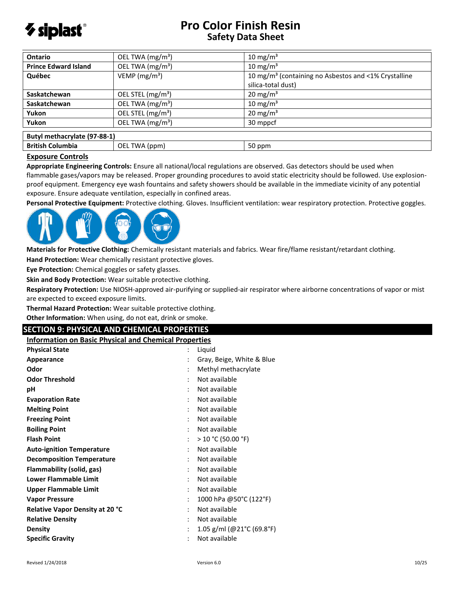

| Ontario                      | OEL TWA (mg/m <sup>3</sup> )  | $10 \text{ mg/m}^3$                                              |  |
|------------------------------|-------------------------------|------------------------------------------------------------------|--|
| <b>Prince Edward Island</b>  | OEL TWA (mg/m <sup>3</sup> )  | 10 mg/m <sup>3</sup>                                             |  |
| Québec                       | VEMP ( $mg/m3$ )              | 10 mg/m <sup>3</sup> (containing no Asbestos and <1% Crystalline |  |
|                              |                               | silica-total dust)                                               |  |
| Saskatchewan                 | OEL STEL (mg/m <sup>3</sup> ) | $20 \text{ mg/m}^3$                                              |  |
| <b>Saskatchewan</b>          | OEL TWA (mg/m <sup>3</sup> )  | 10 mg/m <sup>3</sup>                                             |  |
| Yukon                        | OEL STEL (mg/m <sup>3</sup> ) | $20 \text{ mg/m}^3$                                              |  |
| Yukon                        | OEL TWA (mg/m <sup>3</sup> )  | 30 mppcf                                                         |  |
| Butyl methacrylate (97-88-1) |                               |                                                                  |  |
| <b>British Columbia</b>      | OEL TWA (ppm)                 | 50 ppm                                                           |  |

#### **Exposure Controls**

**Appropriate Engineering Controls:** Ensure all national/local regulations are observed. Gas detectors should be used when flammable gases/vapors may be released. Proper grounding procedures to avoid static electricity should be followed. Use explosionproof equipment. Emergency eye wash fountains and safety showers should be available in the immediate vicinity of any potential exposure. Ensure adequate ventilation, especially in confined areas.

**Personal Protective Equipment:** Protective clothing. Gloves. Insufficient ventilation: wear respiratory protection. Protective goggles.



**Materials for Protective Clothing:** Chemically resistant materials and fabrics. Wear fire/flame resistant/retardant clothing.

**Hand Protection:** Wear chemically resistant protective gloves.

**Eye Protection:** Chemical goggles or safety glasses.

**Skin and Body Protection:** Wear suitable protective clothing.

**Respiratory Protection:** Use NIOSH-approved air-purifying or supplied-air respirator where airborne concentrations of vapor or mist are expected to exceed exposure limits.

**Thermal Hazard Protection:** Wear suitable protective clothing.

**Other Information:** When using, do not eat, drink or smoke.

## **SECTION 9: PHYSICAL AND CHEMICAL PROPERTIES**

**Information on Basic Physical and Chemical Properties**

| <b>Physical State</b>                  | $\ddot{\cdot}$       | Liquid                    |
|----------------------------------------|----------------------|---------------------------|
| Appearance                             |                      | Gray, Beige, White & Blue |
| Odor                                   | $\ddot{\phantom{0}}$ | Methyl methacrylate       |
| <b>Odor Threshold</b>                  | $\ddot{\cdot}$       | Not available             |
| рH                                     | ٠                    | Not available             |
| <b>Evaporation Rate</b>                | ٠                    | Not available             |
| <b>Melting Point</b>                   | ٠                    | Not available             |
| <b>Freezing Point</b>                  | $\ddot{\cdot}$       | Not available             |
| <b>Boiling Point</b>                   |                      | Not available             |
| <b>Flash Point</b>                     |                      | $>$ 10 °C (50.00 °F)      |
| <b>Auto-ignition Temperature</b>       | $\ddot{\cdot}$       | Not available             |
| <b>Decomposition Temperature</b>       | $\ddot{\cdot}$       | Not available             |
| Flammability (solid, gas)              |                      | Not available             |
| <b>Lower Flammable Limit</b>           |                      | Not available             |
| Upper Flammable Limit                  | $\ddot{\cdot}$       | Not available             |
| <b>Vapor Pressure</b>                  | $\ddot{\cdot}$       | 1000 hPa @50°C (122°F)    |
| <b>Relative Vapor Density at 20 °C</b> | $\ddot{\cdot}$       | Not available             |
| <b>Relative Density</b>                | $\ddot{\cdot}$       | Not available             |
| <b>Density</b>                         | $\ddot{\cdot}$       | 1.05 g/ml (@21°C (69.8°F) |
| <b>Specific Gravity</b>                |                      | Not available             |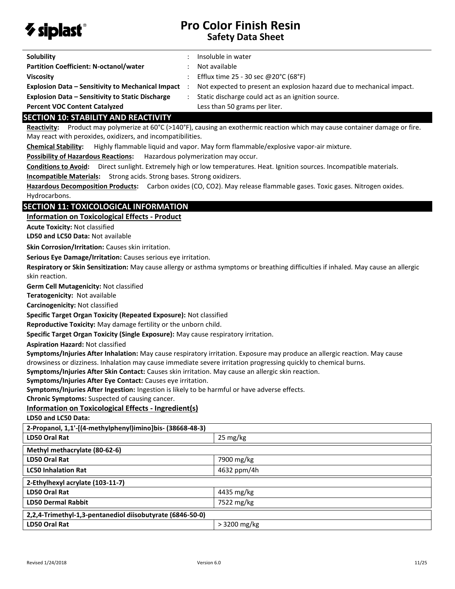

| Solubility                                               | Insoluble in water                                                    |
|----------------------------------------------------------|-----------------------------------------------------------------------|
| <b>Partition Coefficient: N-octanol/water</b>            | Not available                                                         |
| <b>Viscosity</b>                                         | Efflux time 25 - 30 sec @20°C (68°F)                                  |
| <b>Explosion Data - Sensitivity to Mechanical Impact</b> | Not expected to present an explosion hazard due to mechanical impact. |
| <b>Explosion Data – Sensitivity to Static Discharge</b>  | Static discharge could act as an ignition source.                     |
| <b>Percent VOC Content Catalyzed</b>                     | Less than 50 grams per liter.                                         |

### **SECTION 10: STABILITY AND REACTIVITY**

**Reactivity:** Product may polymerize at 60°C (>140°F), causing an exothermic reaction which may cause container damage or fire. May react with peroxides, oxidizers, and incompatibilities.

**Chemical Stability:** Highly flammable liquid and vapor. May form flammable/explosive vapor-air mixture.

**Possibility of Hazardous Reactions:** Hazardous polymerization may occur.

**Conditions to Avoid:** Direct sunlight. Extremely high or low temperatures. Heat. Ignition sources. Incompatible materials.

**Incompatible Materials:** Strong acids. Strong bases. Strong oxidizers.

**Hazardous Decomposition Products:** Carbon oxides (CO, CO2). May release flammable gases. Toxic gases. Nitrogen oxides. Hydrocarbons.

## **SECTION 11: TOXICOLOGICAL INFORMATION**

#### **Information on Toxicological Effects - Product**

**Acute Toxicity:** Not classified

**LD50 and LC50 Data:** Not available

**Skin Corrosion/Irritation:** Causes skin irritation.

**Serious Eye Damage/Irritation:** Causes serious eye irritation.

**Respiratory or Skin Sensitization:** May cause allergy or asthma symptoms or breathing difficulties if inhaled. May cause an allergic skin reaction.

**Germ Cell Mutagenicity:** Not classified

**Teratogenicity:** Not available

**Carcinogenicity:** Not classified

**Specific Target Organ Toxicity (Repeated Exposure):** Not classified

**Reproductive Toxicity:** May damage fertility or the unborn child.

**Specific Target Organ Toxicity (Single Exposure):** May cause respiratory irritation.

**Aspiration Hazard:** Not classified

**Symptoms/Injuries After Inhalation:** May cause respiratory irritation. Exposure may produce an allergic reaction. May cause drowsiness or dizziness. Inhalation may cause immediate severe irritation progressing quickly to chemical burns.

**Symptoms/Injuries After Skin Contact:** Causes skin irritation. May cause an allergic skin reaction.

**Symptoms/Injuries After Eye Contact:** Causes eye irritation.

**Symptoms/Injuries After Ingestion:** Ingestion is likely to be harmful or have adverse effects.

**Chronic Symptoms:** Suspected of causing cancer.

## **Information on Toxicological Effects - Ingredient(s)**

**LD50 and LC50 Data:**

| 2-Propanol, 1,1'-[(4-methylphenyl)imino]bis- (38668-48-3) |                    |  |
|-----------------------------------------------------------|--------------------|--|
| <b>LD50 Oral Rat</b>                                      | $25 \text{ mg/kg}$ |  |
| Methyl methacrylate (80-62-6)                             |                    |  |
| LD50 Oral Rat                                             | 7900 mg/kg         |  |
| <b>LC50 Inhalation Rat</b>                                | 4632 ppm/4h        |  |
| 2-Ethylhexyl acrylate (103-11-7)                          |                    |  |
| LD50 Oral Rat                                             | 4435 mg/kg         |  |
| <b>LD50 Dermal Rabbit</b>                                 | 7522 mg/kg         |  |
| 2,2,4-Trimethyl-1,3-pentanediol diisobutyrate (6846-50-0) |                    |  |
| LD50 Oral Rat                                             | $> 3200$ mg/kg     |  |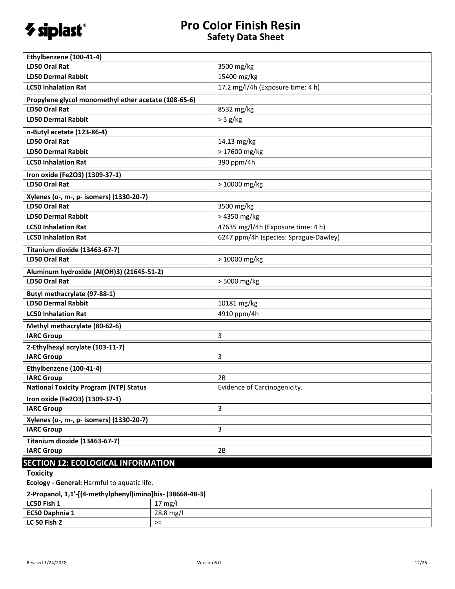

| Ethylbenzene (100-41-4)                              |                                       |
|------------------------------------------------------|---------------------------------------|
| <b>LD50 Oral Rat</b>                                 | 3500 mg/kg                            |
| <b>LD50 Dermal Rabbit</b>                            | 15400 mg/kg                           |
| <b>LC50 Inhalation Rat</b>                           | 17.2 mg/l/4h (Exposure time: 4 h)     |
| Propylene glycol monomethyl ether acetate (108-65-6) |                                       |
| <b>LD50 Oral Rat</b>                                 | 8532 mg/kg                            |
| <b>LD50 Dermal Rabbit</b>                            | $> 5$ g/kg                            |
| n-Butyl acetate (123-86-4)                           |                                       |
| <b>LD50 Oral Rat</b>                                 | 14.13 mg/kg                           |
| <b>LD50 Dermal Rabbit</b>                            | > 17600 mg/kg                         |
| <b>LC50 Inhalation Rat</b>                           | 390 ppm/4h                            |
| Iron oxide (Fe2O3) (1309-37-1)                       |                                       |
| <b>LD50 Oral Rat</b>                                 | > 10000 mg/kg                         |
| Xylenes (o-, m-, p- isomers) (1330-20-7)             |                                       |
| <b>LD50 Oral Rat</b>                                 | 3500 mg/kg                            |
| <b>LD50 Dermal Rabbit</b>                            | > 4350 mg/kg                          |
| <b>LC50 Inhalation Rat</b>                           | 47635 mg/l/4h (Exposure time: 4 h)    |
| <b>LC50 Inhalation Rat</b>                           | 6247 ppm/4h (species: Sprague-Dawley) |
| Titanium dioxide (13463-67-7)                        |                                       |
| <b>LD50 Oral Rat</b>                                 | > 10000 mg/kg                         |
| Aluminum hydroxide (Al(OH)3) (21645-51-2)            |                                       |
| <b>LD50 Oral Rat</b>                                 | > 5000 mg/kg                          |
| Butyl methacrylate (97-88-1)                         |                                       |
| <b>LD50 Dermal Rabbit</b>                            | 10181 mg/kg                           |
| <b>LC50 Inhalation Rat</b>                           | 4910 ppm/4h                           |
| Methyl methacrylate (80-62-6)                        |                                       |
| <b>IARC Group</b>                                    | 3                                     |
| 2-Ethylhexyl acrylate (103-11-7)                     |                                       |
| <b>IARC Group</b>                                    | 3                                     |
| Ethylbenzene (100-41-4)                              |                                       |
| <b>IARC Group</b>                                    | 2B                                    |
| <b>National Toxicity Program (NTP) Status</b>        | Evidence of Carcinogenicity.          |
| Iron oxide (Fe2O3) (1309-37-1)                       |                                       |
| <b>IARC Group</b>                                    | 3                                     |
| Xylenes (o-, m-, p- isomers) (1330-20-7)             |                                       |
| <b>IARC Group</b>                                    | 3                                     |
| Titanium dioxide (13463-67-7)                        |                                       |
| <b>IARC Group</b>                                    | 2B                                    |
| <b>SECTION 12: ECOLOGICAL INFORMATION</b>            |                                       |

**Toxicity** 

**Ecology - General:** Harmful to aquatic life.

| 2-Propanol, 1,1'-[(4-methylphenyl)imino]bis- (38668-48-3) |                   |
|-----------------------------------------------------------|-------------------|
| LC50 Fish 1                                               | $17 \text{ mg/l}$ |
| <b>EC50 Daphnia 1</b>                                     | 28.8 mg/l         |
| <b>LC 50 Fish 2</b>                                       | ≻=                |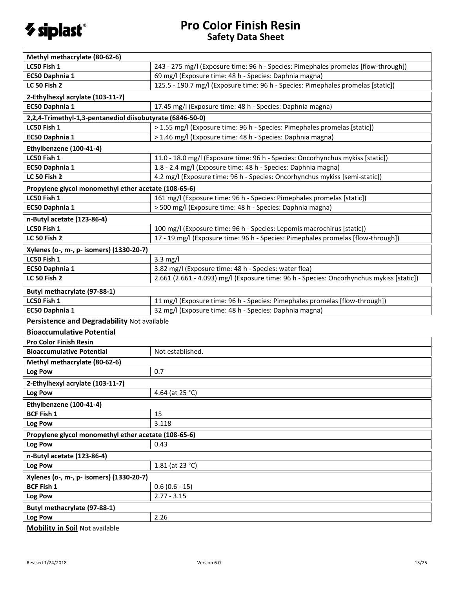

| Methyl methacrylate (80-62-6)                             |                                                                                          |
|-----------------------------------------------------------|------------------------------------------------------------------------------------------|
| LC50 Fish 1                                               | 243 - 275 mg/l (Exposure time: 96 h - Species: Pimephales promelas [flow-through])       |
| EC50 Daphnia 1                                            | 69 mg/l (Exposure time: 48 h - Species: Daphnia magna)                                   |
| <b>LC 50 Fish 2</b>                                       | 125.5 - 190.7 mg/l (Exposure time: 96 h - Species: Pimephales promelas [static])         |
| 2-Ethylhexyl acrylate (103-11-7)                          |                                                                                          |
| EC50 Daphnia 1                                            | 17.45 mg/l (Exposure time: 48 h - Species: Daphnia magna)                                |
| 2,2,4-Trimethyl-1,3-pentanediol diisobutyrate (6846-50-0) |                                                                                          |
| LC50 Fish 1                                               | > 1.55 mg/l (Exposure time: 96 h - Species: Pimephales promelas [static])                |
| EC50 Daphnia 1                                            | > 1.46 mg/l (Exposure time: 48 h - Species: Daphnia magna)                               |
| Ethylbenzene (100-41-4)                                   |                                                                                          |
| LC50 Fish 1                                               | 11.0 - 18.0 mg/l (Exposure time: 96 h - Species: Oncorhynchus mykiss [static])           |
| EC50 Daphnia 1                                            | 1.8 - 2.4 mg/l (Exposure time: 48 h - Species: Daphnia magna)                            |
| <b>LC 50 Fish 2</b>                                       | 4.2 mg/l (Exposure time: 96 h - Species: Oncorhynchus mykiss [semi-static])              |
| Propylene glycol monomethyl ether acetate (108-65-6)      |                                                                                          |
| LC50 Fish 1                                               | 161 mg/l (Exposure time: 96 h - Species: Pimephales promelas [static])                   |
| EC50 Daphnia 1                                            | > 500 mg/l (Exposure time: 48 h - Species: Daphnia magna)                                |
| n-Butyl acetate (123-86-4)                                |                                                                                          |
| LC50 Fish 1                                               | 100 mg/l (Exposure time: 96 h - Species: Lepomis macrochirus [static])                   |
| <b>LC 50 Fish 2</b>                                       | 17 - 19 mg/l (Exposure time: 96 h - Species: Pimephales promelas [flow-through])         |
| Xylenes (o-, m-, p- isomers) (1330-20-7)                  |                                                                                          |
| LC50 Fish 1                                               | $3.3 \text{ mg/l}$                                                                       |
| EC50 Daphnia 1                                            | 3.82 mg/l (Exposure time: 48 h - Species: water flea)                                    |
| <b>LC 50 Fish 2</b>                                       | 2.661 (2.661 - 4.093) mg/l (Exposure time: 96 h - Species: Oncorhynchus mykiss [static]) |
| Butyl methacrylate (97-88-1)                              |                                                                                          |
| LC50 Fish 1                                               | 11 mg/l (Exposure time: 96 h - Species: Pimephales promelas [flow-through])              |
| EC50 Daphnia 1                                            | 32 mg/l (Exposure time: 48 h - Species: Daphnia magna)                                   |
| Persistence and Degradability Not available               |                                                                                          |
| <b>Bioaccumulative Potential</b>                          |                                                                                          |
| <b>Pro Color Finish Resin</b>                             |                                                                                          |
| <b>Bioaccumulative Potential</b>                          | Not established.                                                                         |
| Methyl methacrylate (80-62-6)                             |                                                                                          |
| Log Pow                                                   | 0.7                                                                                      |
| 2-Ethylhexyl acrylate (103-11-7)                          |                                                                                          |
| Log Pow                                                   | 4.64 (at 25 °C)                                                                          |
| Ethylbenzene (100-41-4)                                   |                                                                                          |
| <b>BCF Fish 1</b>                                         | 15                                                                                       |
| Log Pow                                                   | 3.118                                                                                    |
| Propylene glycol monomethyl ether acetate (108-65-6)      |                                                                                          |
| Log Pow                                                   | 0.43                                                                                     |
| n-Butyl acetate (123-86-4)                                |                                                                                          |
| Log Pow                                                   | 1.81 (at 23 °C)                                                                          |
| Xylenes (o-, m-, p- isomers) (1330-20-7)                  |                                                                                          |
| <b>BCF Fish 1</b>                                         | $0.6(0.6 - 15)$                                                                          |
| Log Pow                                                   | $2.77 - 3.15$                                                                            |
| Butyl methacrylate (97-88-1)                              |                                                                                          |
| Log Pow                                                   | 2.26                                                                                     |
|                                                           |                                                                                          |

**Mobility in Soil** Not available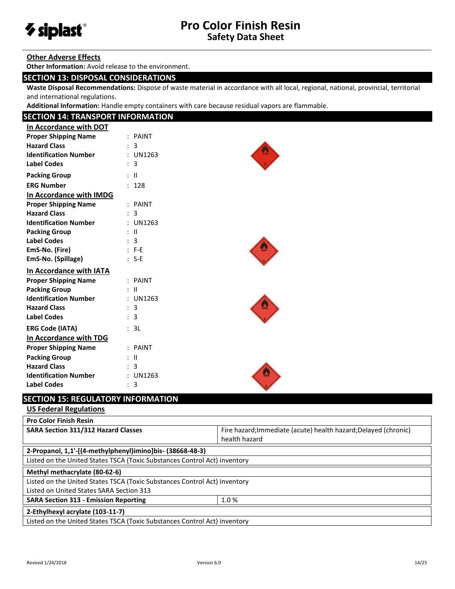

#### **Other Adverse Effects**

**Other Information:** Avoid release to the environment.

### **SECTION 13: DISPOSAL CONSIDERATIONS**

**Waste Disposal Recommendations:** Dispose of waste material in accordance with all local, regional, national, provincial, territorial and international regulations.

**Additional Information:** Handle empty containers with care because residual vapors are flammable.

## **SECTION 14: TRANSPORT INFORMATION**

| In Accordance with DOT       |               |  |
|------------------------------|---------------|--|
| <b>Proper Shipping Name</b>  | $:$ PAINT     |  |
| <b>Hazard Class</b>          | 3             |  |
| <b>Identification Number</b> | : UN1263      |  |
| <b>Label Codes</b>           | 3             |  |
| <b>Packing Group</b>         | $\pm$ 11      |  |
| <b>ERG Number</b>            | 128           |  |
| In Accordance with IMDG      |               |  |
| <b>Proper Shipping Name</b>  | $:$ PAINT     |  |
| <b>Hazard Class</b>          | 3             |  |
| <b>Identification Number</b> | $:$ UN1263    |  |
| <b>Packing Group</b>         | $\mathbf{H}$  |  |
| <b>Label Codes</b>           | 3             |  |
| EmS-No. (Fire)               | $: F-E$       |  |
| EmS-No. (Spillage)           | $: S-E$       |  |
|                              |               |  |
| In Accordance with IATA      |               |  |
| <b>Proper Shipping Name</b>  | $:$ PAINT     |  |
| <b>Packing Group</b>         | : II          |  |
| <b>Identification Number</b> | $:$ UN1263    |  |
| <b>Hazard Class</b>          | 3             |  |
| <b>Label Codes</b>           | : 3           |  |
| <b>ERG Code (IATA)</b>       | 3L            |  |
| In Accordance with TDG       |               |  |
| <b>Proper Shipping Name</b>  | $:$ PAINT     |  |
| <b>Packing Group</b>         | - 11          |  |
| <b>Hazard Class</b>          | 3             |  |
| <b>Identification Number</b> | <b>UN1263</b> |  |

## **SECTION 15: REGULATORY INFORMATION**

## **US Federal Regulations**

| <b>Pro Color Finish Resin</b>                                             |                                                                 |
|---------------------------------------------------------------------------|-----------------------------------------------------------------|
| <b>SARA Section 311/312 Hazard Classes</b>                                | Fire hazard; Immediate (acute) health hazard; Delayed (chronic) |
|                                                                           | health hazard                                                   |
| 2-Propanol, 1,1'-[(4-methylphenyl)imino]bis- (38668-48-3)                 |                                                                 |
| Listed on the United States TSCA (Toxic Substances Control Act) inventory |                                                                 |
| Methyl methacrylate (80-62-6)                                             |                                                                 |
| Listed on the United States TSCA (Toxic Substances Control Act) inventory |                                                                 |
| Listed on United States SARA Section 313                                  |                                                                 |
| 1.0%<br><b>SARA Section 313 - Emission Reporting</b>                      |                                                                 |
| 2-Ethylhexyl acrylate (103-11-7)                                          |                                                                 |
| Listed on the United States TSCA (Toxic Substances Control Act) inventory |                                                                 |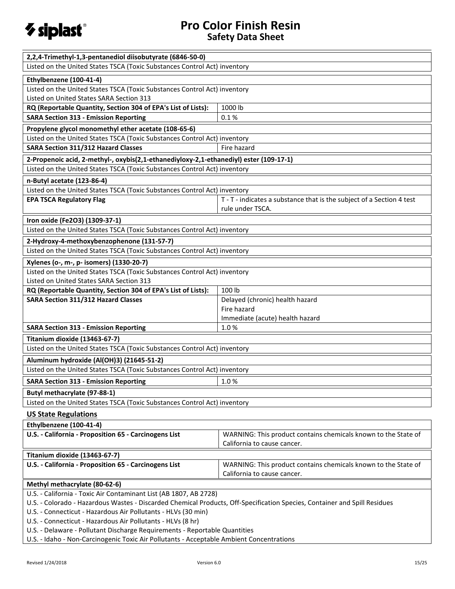

| 2,2,4-Trimethyl-1,3-pentanediol diisobutyrate (6846-50-0)                                                                                                              |                                                                       |
|------------------------------------------------------------------------------------------------------------------------------------------------------------------------|-----------------------------------------------------------------------|
|                                                                                                                                                                        |                                                                       |
| Listed on the United States TSCA (Toxic Substances Control Act) inventory                                                                                              |                                                                       |
| Ethylbenzene (100-41-4)                                                                                                                                                |                                                                       |
| Listed on the United States TSCA (Toxic Substances Control Act) inventory                                                                                              |                                                                       |
| Listed on United States SARA Section 313                                                                                                                               |                                                                       |
| RQ (Reportable Quantity, Section 304 of EPA's List of Lists):                                                                                                          | 1000 lb                                                               |
| <b>SARA Section 313 - Emission Reporting</b>                                                                                                                           | 0.1%                                                                  |
| Propylene glycol monomethyl ether acetate (108-65-6)                                                                                                                   |                                                                       |
| Listed on the United States TSCA (Toxic Substances Control Act) inventory                                                                                              |                                                                       |
| SARA Section 311/312 Hazard Classes                                                                                                                                    | Fire hazard                                                           |
| 2-Propenoic acid, 2-methyl-, oxybis(2,1-ethanediyloxy-2,1-ethanediyl) ester (109-17-1)                                                                                 |                                                                       |
| Listed on the United States TSCA (Toxic Substances Control Act) inventory                                                                                              |                                                                       |
| n-Butyl acetate (123-86-4)                                                                                                                                             |                                                                       |
| Listed on the United States TSCA (Toxic Substances Control Act) inventory                                                                                              |                                                                       |
| <b>EPA TSCA Regulatory Flag</b>                                                                                                                                        | T - T - indicates a substance that is the subject of a Section 4 test |
|                                                                                                                                                                        | rule under TSCA.                                                      |
| Iron oxide (Fe2O3) (1309-37-1)                                                                                                                                         |                                                                       |
| Listed on the United States TSCA (Toxic Substances Control Act) inventory                                                                                              |                                                                       |
| 2-Hydroxy-4-methoxybenzophenone (131-57-7)                                                                                                                             |                                                                       |
| Listed on the United States TSCA (Toxic Substances Control Act) inventory                                                                                              |                                                                       |
| Xylenes (o-, m-, p- isomers) (1330-20-7)                                                                                                                               |                                                                       |
| Listed on the United States TSCA (Toxic Substances Control Act) inventory                                                                                              |                                                                       |
| Listed on United States SARA Section 313                                                                                                                               |                                                                       |
| RQ (Reportable Quantity, Section 304 of EPA's List of Lists):                                                                                                          | 100 lb                                                                |
| SARA Section 311/312 Hazard Classes                                                                                                                                    | Delayed (chronic) health hazard                                       |
|                                                                                                                                                                        | Fire hazard                                                           |
|                                                                                                                                                                        | Immediate (acute) health hazard                                       |
| <b>SARA Section 313 - Emission Reporting</b>                                                                                                                           | 1.0%                                                                  |
| Titanium dioxide (13463-67-7)                                                                                                                                          |                                                                       |
| Listed on the United States TSCA (Toxic Substances Control Act) inventory                                                                                              |                                                                       |
| Aluminum hydroxide (Al(OH)3) (21645-51-2)                                                                                                                              |                                                                       |
| Listed on the United States TSCA (Toxic Substances Control Act) inventory                                                                                              |                                                                       |
| <b>SARA Section 313 - Emission Reporting</b>                                                                                                                           | 1.0%                                                                  |
|                                                                                                                                                                        |                                                                       |
| Butyl methacrylate (97-88-1)                                                                                                                                           |                                                                       |
| Listed on the United States TSCA (Toxic Substances Control Act) inventory                                                                                              |                                                                       |
| <b>US State Regulations</b>                                                                                                                                            |                                                                       |
| Ethylbenzene (100-41-4)                                                                                                                                                |                                                                       |
| U.S. - California - Proposition 65 - Carcinogens List                                                                                                                  | WARNING: This product contains chemicals known to the State of        |
|                                                                                                                                                                        | California to cause cancer.                                           |
| Titanium dioxide (13463-67-7)                                                                                                                                          |                                                                       |
| U.S. - California - Proposition 65 - Carcinogens List                                                                                                                  | WARNING: This product contains chemicals known to the State of        |
|                                                                                                                                                                        | California to cause cancer.                                           |
| Methyl methacrylate (80-62-6)                                                                                                                                          |                                                                       |
| U.S. - California - Toxic Air Contaminant List (AB 1807, AB 2728)                                                                                                      |                                                                       |
| U.S. - Colorado - Hazardous Wastes - Discarded Chemical Products, Off-Specification Species, Container and Spill Residues                                              |                                                                       |
| U.S. - Connecticut - Hazardous Air Pollutants - HLVs (30 min)                                                                                                          |                                                                       |
| U.S. - Connecticut - Hazardous Air Pollutants - HLVs (8 hr)                                                                                                            |                                                                       |
|                                                                                                                                                                        |                                                                       |
| U.S. - Delaware - Pollutant Discharge Requirements - Reportable Quantities<br>U.S. - Idaho - Non-Carcinogenic Toxic Air Pollutants - Acceptable Ambient Concentrations |                                                                       |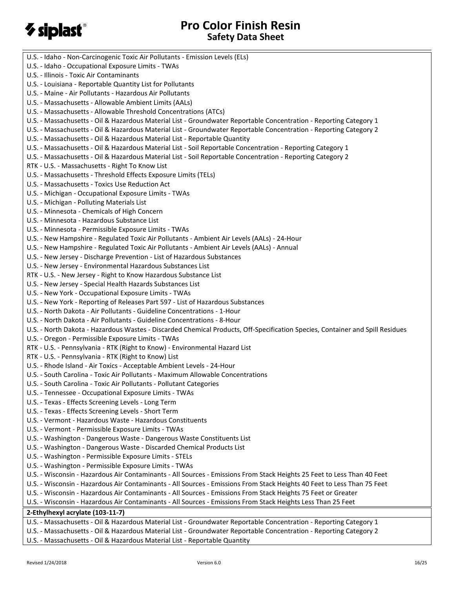

| U.S. - Idaho - Non-Carcinogenic Toxic Air Pollutants - Emission Levels (ELs)                                                  |
|-------------------------------------------------------------------------------------------------------------------------------|
| U.S. - Idaho - Occupational Exposure Limits - TWAs                                                                            |
| U.S. - Illinois - Toxic Air Contaminants                                                                                      |
| U.S. - Louisiana - Reportable Quantity List for Pollutants                                                                    |
| U.S. - Maine - Air Pollutants - Hazardous Air Pollutants                                                                      |
| U.S. - Massachusetts - Allowable Ambient Limits (AALs)                                                                        |
| U.S. - Massachusetts - Allowable Threshold Concentrations (ATCs)                                                              |
| U.S. - Massachusetts - Oil & Hazardous Material List - Groundwater Reportable Concentration - Reporting Category 1            |
| U.S. - Massachusetts - Oil & Hazardous Material List - Groundwater Reportable Concentration - Reporting Category 2            |
| U.S. - Massachusetts - Oil & Hazardous Material List - Reportable Quantity                                                    |
| U.S. - Massachusetts - Oil & Hazardous Material List - Soil Reportable Concentration - Reporting Category 1                   |
| U.S. - Massachusetts - Oil & Hazardous Material List - Soil Reportable Concentration - Reporting Category 2                   |
| RTK - U.S. - Massachusetts - Right To Know List                                                                               |
| U.S. - Massachusetts - Threshold Effects Exposure Limits (TELs)                                                               |
| U.S. - Massachusetts - Toxics Use Reduction Act                                                                               |
| U.S. - Michigan - Occupational Exposure Limits - TWAs                                                                         |
| U.S. - Michigan - Polluting Materials List                                                                                    |
| U.S. - Minnesota - Chemicals of High Concern                                                                                  |
| U.S. - Minnesota - Hazardous Substance List                                                                                   |
| U.S. - Minnesota - Permissible Exposure Limits - TWAs                                                                         |
|                                                                                                                               |
| U.S. - New Hampshire - Regulated Toxic Air Pollutants - Ambient Air Levels (AALs) - 24-Hour                                   |
| U.S. - New Hampshire - Regulated Toxic Air Pollutants - Ambient Air Levels (AALs) - Annual                                    |
| U.S. - New Jersey - Discharge Prevention - List of Hazardous Substances                                                       |
| U.S. - New Jersey - Environmental Hazardous Substances List                                                                   |
| RTK - U.S. - New Jersey - Right to Know Hazardous Substance List                                                              |
| U.S. - New Jersey - Special Health Hazards Substances List                                                                    |
| U.S. - New York - Occupational Exposure Limits - TWAs                                                                         |
| U.S. - New York - Reporting of Releases Part 597 - List of Hazardous Substances                                               |
| U.S. - North Dakota - Air Pollutants - Guideline Concentrations - 1-Hour                                                      |
| U.S. - North Dakota - Air Pollutants - Guideline Concentrations - 8-Hour                                                      |
| U.S. - North Dakota - Hazardous Wastes - Discarded Chemical Products, Off-Specification Species, Container and Spill Residues |
| U.S. - Oregon - Permissible Exposure Limits - TWAs                                                                            |
| RTK - U.S. - Pennsylvania - RTK (Right to Know) - Environmental Hazard List                                                   |
| RTK - U.S. - Pennsylvania - RTK (Right to Know) List                                                                          |
| U.S. - Rhode Island - Air Toxics - Acceptable Ambient Levels - 24-Hour                                                        |
| U.S. - South Carolina - Toxic Air Pollutants - Maximum Allowable Concentrations                                               |
| U.S. - South Carolina - Toxic Air Pollutants - Pollutant Categories                                                           |
| U.S. - Tennessee - Occupational Exposure Limits - TWAs                                                                        |
| U.S. - Texas - Effects Screening Levels - Long Term                                                                           |
| U.S. - Texas - Effects Screening Levels - Short Term                                                                          |
| U.S. - Vermont - Hazardous Waste - Hazardous Constituents                                                                     |
| U.S. - Vermont - Permissible Exposure Limits - TWAs                                                                           |
| U.S. - Washington - Dangerous Waste - Dangerous Waste Constituents List                                                       |
| U.S. - Washington - Dangerous Waste - Discarded Chemical Products List                                                        |
| U.S. - Washington - Permissible Exposure Limits - STELs                                                                       |
| U.S. - Washington - Permissible Exposure Limits - TWAs                                                                        |
| U.S. - Wisconsin - Hazardous Air Contaminants - All Sources - Emissions From Stack Heights 25 Feet to Less Than 40 Feet       |
| U.S. - Wisconsin - Hazardous Air Contaminants - All Sources - Emissions From Stack Heights 40 Feet to Less Than 75 Feet       |
| U.S. - Wisconsin - Hazardous Air Contaminants - All Sources - Emissions From Stack Heights 75 Feet or Greater                 |
| U.S. - Wisconsin - Hazardous Air Contaminants - All Sources - Emissions From Stack Heights Less Than 25 Feet                  |
| 2-Ethylhexyl acrylate (103-11-7)                                                                                              |
| U.S. - Massachusetts - Oil & Hazardous Material List - Groundwater Reportable Concentration - Reporting Category 1            |
| U.S. - Massachusetts - Oil & Hazardous Material List - Groundwater Reportable Concentration - Reporting Category 2            |
|                                                                                                                               |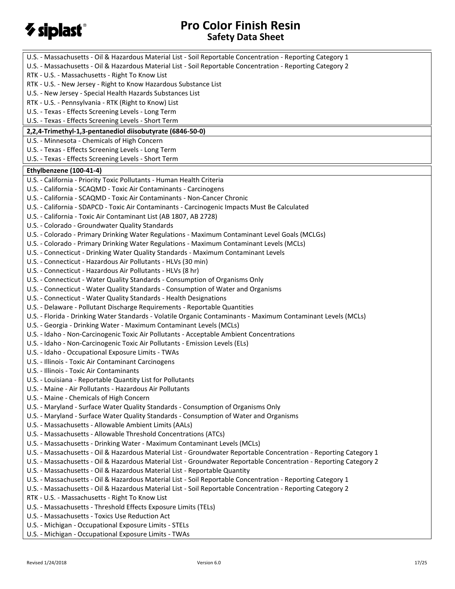

| U.S. - Massachusetts - Oil & Hazardous Material List - Soil Reportable Concentration - Reporting Category 1        |
|--------------------------------------------------------------------------------------------------------------------|
| U.S. - Massachusetts - Oil & Hazardous Material List - Soil Reportable Concentration - Reporting Category 2        |
| RTK - U.S. - Massachusetts - Right To Know List                                                                    |
| RTK - U.S. - New Jersey - Right to Know Hazardous Substance List                                                   |
| U.S. - New Jersey - Special Health Hazards Substances List                                                         |
| RTK - U.S. - Pennsylvania - RTK (Right to Know) List                                                               |
| U.S. - Texas - Effects Screening Levels - Long Term                                                                |
| U.S. - Texas - Effects Screening Levels - Short Term                                                               |
| 2,2,4-Trimethyl-1,3-pentanediol diisobutyrate (6846-50-0)                                                          |
| U.S. - Minnesota - Chemicals of High Concern                                                                       |
| U.S. - Texas - Effects Screening Levels - Long Term                                                                |
| U.S. - Texas - Effects Screening Levels - Short Term                                                               |
| Ethylbenzene (100-41-4)                                                                                            |
| U.S. - California - Priority Toxic Pollutants - Human Health Criteria                                              |
| U.S. - California - SCAQMD - Toxic Air Contaminants - Carcinogens                                                  |
| U.S. - California - SCAQMD - Toxic Air Contaminants - Non-Cancer Chronic                                           |
| U.S. - California - SDAPCD - Toxic Air Contaminants - Carcinogenic Impacts Must Be Calculated                      |
| U.S. - California - Toxic Air Contaminant List (AB 1807, AB 2728)                                                  |
| U.S. - Colorado - Groundwater Quality Standards                                                                    |
| U.S. - Colorado - Primary Drinking Water Regulations - Maximum Contaminant Level Goals (MCLGs)                     |
| U.S. - Colorado - Primary Drinking Water Regulations - Maximum Contaminant Levels (MCLs)                           |
| U.S. - Connecticut - Drinking Water Quality Standards - Maximum Contaminant Levels                                 |
| U.S. - Connecticut - Hazardous Air Pollutants - HLVs (30 min)                                                      |
| U.S. - Connecticut - Hazardous Air Pollutants - HLVs (8 hr)                                                        |
| U.S. - Connecticut - Water Quality Standards - Consumption of Organisms Only                                       |
| U.S. - Connecticut - Water Quality Standards - Consumption of Water and Organisms                                  |
| U.S. - Connecticut - Water Quality Standards - Health Designations                                                 |
| U.S. - Delaware - Pollutant Discharge Requirements - Reportable Quantities                                         |
| U.S. - Florida - Drinking Water Standards - Volatile Organic Contaminants - Maximum Contaminant Levels (MCLs)      |
| U.S. - Georgia - Drinking Water - Maximum Contaminant Levels (MCLs)                                                |
| U.S. - Idaho - Non-Carcinogenic Toxic Air Pollutants - Acceptable Ambient Concentrations                           |
| U.S. - Idaho - Non-Carcinogenic Toxic Air Pollutants - Emission Levels (ELs)                                       |
| U.S. - Idaho - Occupational Exposure Limits - TWAs                                                                 |
| U.S. - Illinois - Toxic Air Contaminant Carcinogens                                                                |
| U.S. - Illinois - Toxic Air Contaminants                                                                           |
| U.S. - Louisiana - Reportable Quantity List for Pollutants                                                         |
| U.S. - Maine - Air Pollutants - Hazardous Air Pollutants                                                           |
| U.S. - Maine - Chemicals of High Concern                                                                           |
| U.S. - Maryland - Surface Water Quality Standards - Consumption of Organisms Only                                  |
| U.S. - Maryland - Surface Water Quality Standards - Consumption of Water and Organisms                             |
| U.S. - Massachusetts - Allowable Ambient Limits (AALs)                                                             |
| U.S. - Massachusetts - Allowable Threshold Concentrations (ATCs)                                                   |
| U.S. - Massachusetts - Drinking Water - Maximum Contaminant Levels (MCLs)                                          |
| U.S. - Massachusetts - Oil & Hazardous Material List - Groundwater Reportable Concentration - Reporting Category 1 |
| U.S. - Massachusetts - Oil & Hazardous Material List - Groundwater Reportable Concentration - Reporting Category 2 |
| U.S. - Massachusetts - Oil & Hazardous Material List - Reportable Quantity                                         |
| U.S. - Massachusetts - Oil & Hazardous Material List - Soil Reportable Concentration - Reporting Category 1        |
| U.S. - Massachusetts - Oil & Hazardous Material List - Soil Reportable Concentration - Reporting Category 2        |
| RTK - U.S. - Massachusetts - Right To Know List                                                                    |
| U.S. - Massachusetts - Threshold Effects Exposure Limits (TELs)                                                    |
| U.S. - Massachusetts - Toxics Use Reduction Act                                                                    |
| U.S. - Michigan - Occupational Exposure Limits - STELs                                                             |
| U.S. - Michigan - Occupational Exposure Limits - TWAs                                                              |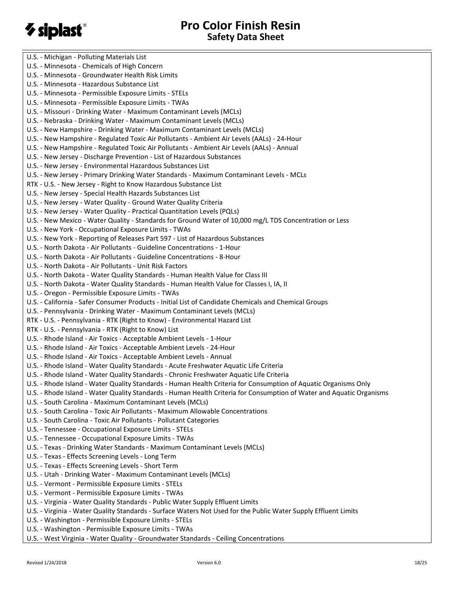# *V* siplast®

U.S. - Michigan - Polluting Materials List U.S. - Minnesota - Chemicals of High Concern U.S. - Minnesota - Groundwater Health Risk Limits U.S. - Minnesota - Hazardous Substance List U.S. - Minnesota - Permissible Exposure Limits - STELs U.S. - Minnesota - Permissible Exposure Limits - TWAs U.S. - Missouri - Drinking Water - Maximum Contaminant Levels (MCLs) U.S. - Nebraska - Drinking Water - Maximum Contaminant Levels (MCLs) U.S. - New Hampshire - Drinking Water - Maximum Contaminant Levels (MCLs) U.S. - New Hampshire - Regulated Toxic Air Pollutants - Ambient Air Levels (AALs) - 24-Hour U.S. - New Hampshire - Regulated Toxic Air Pollutants - Ambient Air Levels (AALs) - Annual U.S. - New Jersey - Discharge Prevention - List of Hazardous Substances U.S. - New Jersey - Environmental Hazardous Substances List U.S. - New Jersey - Primary Drinking Water Standards - Maximum Contaminant Levels - MCLs RTK - U.S. - New Jersey - Right to Know Hazardous Substance List U.S. - New Jersey - Special Health Hazards Substances List U.S. - New Jersey - Water Quality - Ground Water Quality Criteria U.S. - New Jersey - Water Quality - Practical Quantitation Levels (PQLs) U.S. - New Mexico - Water Quality - Standards for Ground Water of 10,000 mg/L TDS Concentration or Less U.S. - New York - Occupational Exposure Limits - TWAs U.S. - New York - Reporting of Releases Part 597 - List of Hazardous Substances U.S. - North Dakota - Air Pollutants - Guideline Concentrations - 1-Hour U.S. - North Dakota - Air Pollutants - Guideline Concentrations - 8-Hour U.S. - North Dakota - Air Pollutants - Unit Risk Factors U.S. - North Dakota - Water Quality Standards - Human Health Value for Class III U.S. - North Dakota - Water Quality Standards - Human Health Value for Classes I, IA, II U.S. - Oregon - Permissible Exposure Limits - TWAs U.S. - California - Safer Consumer Products - Initial List of Candidate Chemicals and Chemical Groups U.S. - Pennsylvania - Drinking Water - Maximum Contaminant Levels (MCLs) RTK - U.S. - Pennsylvania - RTK (Right to Know) - Environmental Hazard List RTK - U.S. - Pennsylvania - RTK (Right to Know) List U.S. - Rhode Island - Air Toxics - Acceptable Ambient Levels - 1-Hour U.S. - Rhode Island - Air Toxics - Acceptable Ambient Levels - 24-Hour U.S. - Rhode Island - Air Toxics - Acceptable Ambient Levels - Annual U.S. - Rhode Island - Water Quality Standards - Acute Freshwater Aquatic Life Criteria U.S. - Rhode Island - Water Quality Standards - Chronic Freshwater Aquatic Life Criteria U.S. - Rhode Island - Water Quality Standards - Human Health Criteria for Consumption of Aquatic Organisms Only U.S. - Rhode Island - Water Quality Standards - Human Health Criteria for Consumption of Water and Aquatic Organisms U.S. - South Carolina - Maximum Contaminant Levels (MCLs) U.S. - South Carolina - Toxic Air Pollutants - Maximum Allowable Concentrations U.S. - South Carolina - Toxic Air Pollutants - Pollutant Categories U.S. - Tennessee - Occupational Exposure Limits - STELs U.S. - Tennessee - Occupational Exposure Limits - TWAs U.S. - Texas - Drinking Water Standards - Maximum Contaminant Levels (MCLs) U.S. - Texas - Effects Screening Levels - Long Term U.S. - Texas - Effects Screening Levels - Short Term U.S. - Utah - Drinking Water - Maximum Contaminant Levels (MCLs) U.S. - Vermont - Permissible Exposure Limits - STELs U.S. - Vermont - Permissible Exposure Limits - TWAs U.S. - Virginia - Water Quality Standards - Public Water Supply Effluent Limits U.S. - Virginia - Water Quality Standards - Surface Waters Not Used for the Public Water Supply Effluent Limits U.S. - Washington - Permissible Exposure Limits - STELs U.S. - Washington - Permissible Exposure Limits - TWAs U.S. - West Virginia - Water Quality - Groundwater Standards - Ceiling Concentrations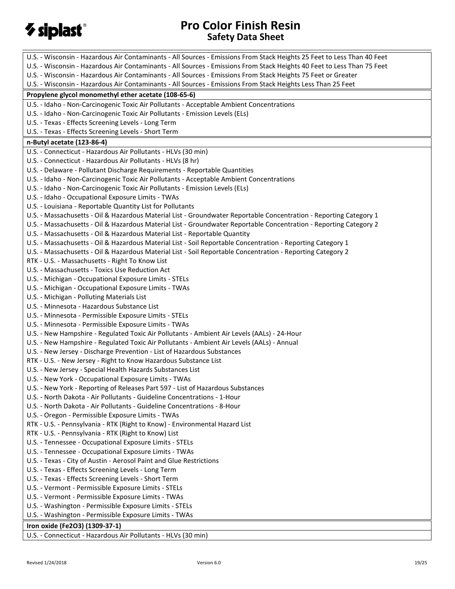

| U.S. - Wisconsin - Hazardous Air Contaminants - All Sources - Emissions From Stack Heights 25 Feet to Less Than 40 Feet |
|-------------------------------------------------------------------------------------------------------------------------|
| U.S. - Wisconsin - Hazardous Air Contaminants - All Sources - Emissions From Stack Heights 40 Feet to Less Than 75 Feet |
| U.S. - Wisconsin - Hazardous Air Contaminants - All Sources - Emissions From Stack Heights 75 Feet or Greater           |
| U.S. - Wisconsin - Hazardous Air Contaminants - All Sources - Emissions From Stack Heights Less Than 25 Feet            |
| Propylene glycol monomethyl ether acetate (108-65-6)                                                                    |
| U.S. - Idaho - Non-Carcinogenic Toxic Air Pollutants - Acceptable Ambient Concentrations                                |
| U.S. - Idaho - Non-Carcinogenic Toxic Air Pollutants - Emission Levels (ELs)                                            |
| U.S. - Texas - Effects Screening Levels - Long Term                                                                     |
| U.S. - Texas - Effects Screening Levels - Short Term                                                                    |
| n-Butyl acetate (123-86-4)                                                                                              |
| U.S. - Connecticut - Hazardous Air Pollutants - HLVs (30 min)                                                           |
| U.S. - Connecticut - Hazardous Air Pollutants - HLVs (8 hr)                                                             |
| U.S. - Delaware - Pollutant Discharge Requirements - Reportable Quantities                                              |
| U.S. - Idaho - Non-Carcinogenic Toxic Air Pollutants - Acceptable Ambient Concentrations                                |
| U.S. - Idaho - Non-Carcinogenic Toxic Air Pollutants - Emission Levels (ELs)                                            |
| U.S. - Idaho - Occupational Exposure Limits - TWAs                                                                      |
| U.S. - Louisiana - Reportable Quantity List for Pollutants                                                              |
| U.S. - Massachusetts - Oil & Hazardous Material List - Groundwater Reportable Concentration - Reporting Category 1      |
| U.S. - Massachusetts - Oil & Hazardous Material List - Groundwater Reportable Concentration - Reporting Category 2      |
| U.S. - Massachusetts - Oil & Hazardous Material List - Reportable Quantity                                              |
| U.S. - Massachusetts - Oil & Hazardous Material List - Soil Reportable Concentration - Reporting Category 1             |
| U.S. - Massachusetts - Oil & Hazardous Material List - Soil Reportable Concentration - Reporting Category 2             |
| RTK - U.S. - Massachusetts - Right To Know List                                                                         |
| U.S. - Massachusetts - Toxics Use Reduction Act                                                                         |
| U.S. - Michigan - Occupational Exposure Limits - STELs                                                                  |
| U.S. - Michigan - Occupational Exposure Limits - TWAs                                                                   |
| U.S. - Michigan - Polluting Materials List                                                                              |
| U.S. - Minnesota - Hazardous Substance List                                                                             |
| U.S. - Minnesota - Permissible Exposure Limits - STELs                                                                  |
| U.S. - Minnesota - Permissible Exposure Limits - TWAs                                                                   |
| U.S. - New Hampshire - Regulated Toxic Air Pollutants - Ambient Air Levels (AALs) - 24-Hour                             |
| U.S. - New Hampshire - Regulated Toxic Air Pollutants - Ambient Air Levels (AALs) - Annual                              |
| U.S. - New Jersey - Discharge Prevention - List of Hazardous Substances                                                 |
| RTK - U.S. - New Jersey - Right to Know Hazardous Substance List                                                        |
| U.S. - New Jersey - Special Health Hazards Substances List                                                              |
| U.S. - New York - Occupational Exposure Limits - TWAs                                                                   |
| U.S. - New York - Reporting of Releases Part 597 - List of Hazardous Substances                                         |
| U.S. - North Dakota - Air Pollutants - Guideline Concentrations - 1-Hour                                                |
| U.S. - North Dakota - Air Pollutants - Guideline Concentrations - 8-Hour                                                |
| U.S. - Oregon - Permissible Exposure Limits - TWAs                                                                      |
| RTK - U.S. - Pennsylvania - RTK (Right to Know) - Environmental Hazard List                                             |
| RTK - U.S. - Pennsylvania - RTK (Right to Know) List                                                                    |
| U.S. - Tennessee - Occupational Exposure Limits - STELs                                                                 |
| U.S. - Tennessee - Occupational Exposure Limits - TWAs                                                                  |
| U.S. - Texas - City of Austin - Aerosol Paint and Glue Restrictions                                                     |
| U.S. - Texas - Effects Screening Levels - Long Term                                                                     |
| U.S. - Texas - Effects Screening Levels - Short Term                                                                    |
| U.S. - Vermont - Permissible Exposure Limits - STELs                                                                    |
| U.S. - Vermont - Permissible Exposure Limits - TWAs                                                                     |
| U.S. - Washington - Permissible Exposure Limits - STELs                                                                 |
| U.S. - Washington - Permissible Exposure Limits - TWAs                                                                  |
| Iron oxide (Fe2O3) (1309-37-1)                                                                                          |
| U.S. - Connecticut - Hazardous Air Pollutants - HLVs (30 min)                                                           |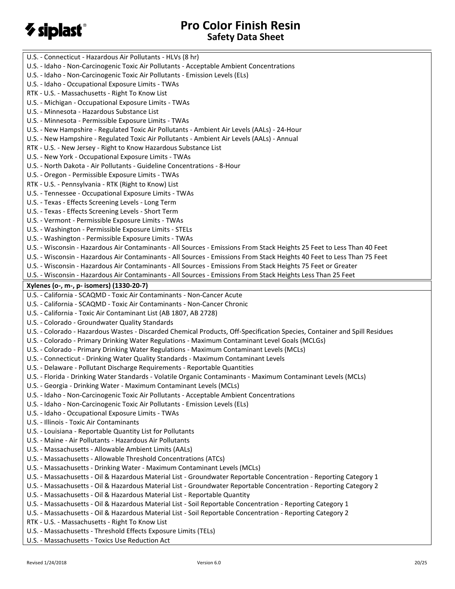# *V* siplast®

| U.S. - Connecticut - Hazardous Air Pollutants - HLVs (8 hr)                                                               |
|---------------------------------------------------------------------------------------------------------------------------|
| U.S. - Idaho - Non-Carcinogenic Toxic Air Pollutants - Acceptable Ambient Concentrations                                  |
| U.S. - Idaho - Non-Carcinogenic Toxic Air Pollutants - Emission Levels (ELs)                                              |
| U.S. - Idaho - Occupational Exposure Limits - TWAs                                                                        |
| RTK - U.S. - Massachusetts - Right To Know List                                                                           |
| U.S. - Michigan - Occupational Exposure Limits - TWAs                                                                     |
| U.S. - Minnesota - Hazardous Substance List                                                                               |
| U.S. - Minnesota - Permissible Exposure Limits - TWAs                                                                     |
| U.S. - New Hampshire - Regulated Toxic Air Pollutants - Ambient Air Levels (AALs) - 24-Hour                               |
| U.S. - New Hampshire - Regulated Toxic Air Pollutants - Ambient Air Levels (AALs) - Annual                                |
| RTK - U.S. - New Jersey - Right to Know Hazardous Substance List                                                          |
| U.S. - New York - Occupational Exposure Limits - TWAs                                                                     |
| U.S. - North Dakota - Air Pollutants - Guideline Concentrations - 8-Hour                                                  |
| U.S. - Oregon - Permissible Exposure Limits - TWAs                                                                        |
| RTK - U.S. - Pennsylvania - RTK (Right to Know) List                                                                      |
| U.S. - Tennessee - Occupational Exposure Limits - TWAs                                                                    |
| U.S. - Texas - Effects Screening Levels - Long Term                                                                       |
| U.S. - Texas - Effects Screening Levels - Short Term                                                                      |
| U.S. - Vermont - Permissible Exposure Limits - TWAs                                                                       |
| U.S. - Washington - Permissible Exposure Limits - STELs                                                                   |
| U.S. - Washington - Permissible Exposure Limits - TWAs                                                                    |
| U.S. - Wisconsin - Hazardous Air Contaminants - All Sources - Emissions From Stack Heights 25 Feet to Less Than 40 Feet   |
| U.S. - Wisconsin - Hazardous Air Contaminants - All Sources - Emissions From Stack Heights 40 Feet to Less Than 75 Feet   |
| U.S. - Wisconsin - Hazardous Air Contaminants - All Sources - Emissions From Stack Heights 75 Feet or Greater             |
| U.S. - Wisconsin - Hazardous Air Contaminants - All Sources - Emissions From Stack Heights Less Than 25 Feet              |
|                                                                                                                           |
| Xylenes (o-, m-, p- isomers) (1330-20-7)<br>U.S. - California - SCAQMD - Toxic Air Contaminants - Non-Cancer Acute        |
|                                                                                                                           |
|                                                                                                                           |
| U.S. - California - SCAQMD - Toxic Air Contaminants - Non-Cancer Chronic                                                  |
| U.S. - California - Toxic Air Contaminant List (AB 1807, AB 2728)                                                         |
| U.S. - Colorado - Groundwater Quality Standards                                                                           |
| U.S. - Colorado - Hazardous Wastes - Discarded Chemical Products, Off-Specification Species, Container and Spill Residues |
| U.S. - Colorado - Primary Drinking Water Regulations - Maximum Contaminant Level Goals (MCLGs)                            |
| U.S. - Colorado - Primary Drinking Water Regulations - Maximum Contaminant Levels (MCLs)                                  |
| U.S. - Connecticut - Drinking Water Quality Standards - Maximum Contaminant Levels                                        |
| U.S. - Delaware - Pollutant Discharge Requirements - Reportable Quantities                                                |
| U.S. - Florida - Drinking Water Standards - Volatile Organic Contaminants - Maximum Contaminant Levels (MCLs)             |
| U.S. - Georgia - Drinking Water - Maximum Contaminant Levels (MCLs)                                                       |
| U.S. - Idaho - Non-Carcinogenic Toxic Air Pollutants - Acceptable Ambient Concentrations                                  |
| U.S. - Idaho - Non-Carcinogenic Toxic Air Pollutants - Emission Levels (ELs)                                              |
| U.S. - Idaho - Occupational Exposure Limits - TWAs                                                                        |
| U.S. - Illinois - Toxic Air Contaminants                                                                                  |
| U.S. - Louisiana - Reportable Quantity List for Pollutants                                                                |
| U.S. - Maine - Air Pollutants - Hazardous Air Pollutants                                                                  |
| U.S. - Massachusetts - Allowable Ambient Limits (AALs)                                                                    |
| U.S. - Massachusetts - Allowable Threshold Concentrations (ATCs)                                                          |
| U.S. - Massachusetts - Drinking Water - Maximum Contaminant Levels (MCLs)                                                 |
| U.S. - Massachusetts - Oil & Hazardous Material List - Groundwater Reportable Concentration - Reporting Category 1        |
| U.S. - Massachusetts - Oil & Hazardous Material List - Groundwater Reportable Concentration - Reporting Category 2        |
| U.S. - Massachusetts - Oil & Hazardous Material List - Reportable Quantity                                                |
| U.S. - Massachusetts - Oil & Hazardous Material List - Soil Reportable Concentration - Reporting Category 1               |
| U.S. - Massachusetts - Oil & Hazardous Material List - Soil Reportable Concentration - Reporting Category 2               |
| RTK - U.S. - Massachusetts - Right To Know List                                                                           |
| U.S. - Massachusetts - Threshold Effects Exposure Limits (TELs)                                                           |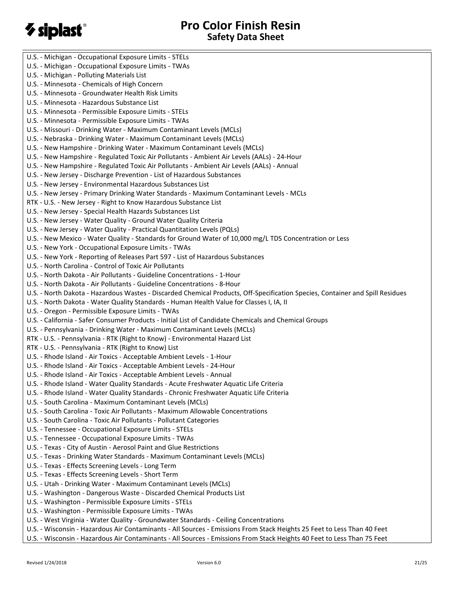# $\gamma$  siplast $\degree$

U.S. - Michigan - Occupational Exposure Limits - STELs U.S. - Michigan - Occupational Exposure Limits - TWAs U.S. - Michigan - Polluting Materials List U.S. - Minnesota - Chemicals of High Concern U.S. - Minnesota - Groundwater Health Risk Limits U.S. - Minnesota - Hazardous Substance List U.S. - Minnesota - Permissible Exposure Limits - STELs U.S. - Minnesota - Permissible Exposure Limits - TWAs U.S. - Missouri - Drinking Water - Maximum Contaminant Levels (MCLs) U.S. - Nebraska - Drinking Water - Maximum Contaminant Levels (MCLs) U.S. - New Hampshire - Drinking Water - Maximum Contaminant Levels (MCLs) U.S. - New Hampshire - Regulated Toxic Air Pollutants - Ambient Air Levels (AALs) - 24-Hour U.S. - New Hampshire - Regulated Toxic Air Pollutants - Ambient Air Levels (AALs) - Annual U.S. - New Jersey - Discharge Prevention - List of Hazardous Substances U.S. - New Jersey - Environmental Hazardous Substances List U.S. - New Jersey - Primary Drinking Water Standards - Maximum Contaminant Levels - MCLs RTK - U.S. - New Jersey - Right to Know Hazardous Substance List U.S. - New Jersey - Special Health Hazards Substances List U.S. - New Jersey - Water Quality - Ground Water Quality Criteria U.S. - New Jersey - Water Quality - Practical Quantitation Levels (PQLs) U.S. - New Mexico - Water Quality - Standards for Ground Water of 10,000 mg/L TDS Concentration or Less U.S. - New York - Occupational Exposure Limits - TWAs U.S. - New York - Reporting of Releases Part 597 - List of Hazardous Substances U.S. - North Carolina - Control of Toxic Air Pollutants U.S. - North Dakota - Air Pollutants - Guideline Concentrations - 1-Hour U.S. - North Dakota - Air Pollutants - Guideline Concentrations - 8-Hour U.S. - North Dakota - Hazardous Wastes - Discarded Chemical Products, Off-Specification Species, Container and Spill Residues U.S. - North Dakota - Water Quality Standards - Human Health Value for Classes I, IA, II U.S. - Oregon - Permissible Exposure Limits - TWAs U.S. - California - Safer Consumer Products - Initial List of Candidate Chemicals and Chemical Groups U.S. - Pennsylvania - Drinking Water - Maximum Contaminant Levels (MCLs) RTK - U.S. - Pennsylvania - RTK (Right to Know) - Environmental Hazard List RTK - U.S. - Pennsylvania - RTK (Right to Know) List U.S. - Rhode Island - Air Toxics - Acceptable Ambient Levels - 1-Hour U.S. - Rhode Island - Air Toxics - Acceptable Ambient Levels - 24-Hour U.S. - Rhode Island - Air Toxics - Acceptable Ambient Levels - Annual U.S. - Rhode Island - Water Quality Standards - Acute Freshwater Aquatic Life Criteria U.S. - Rhode Island - Water Quality Standards - Chronic Freshwater Aquatic Life Criteria U.S. - South Carolina - Maximum Contaminant Levels (MCLs) U.S. - South Carolina - Toxic Air Pollutants - Maximum Allowable Concentrations U.S. - South Carolina - Toxic Air Pollutants - Pollutant Categories U.S. - Tennessee - Occupational Exposure Limits - STELs U.S. - Tennessee - Occupational Exposure Limits - TWAs U.S. - Texas - City of Austin - Aerosol Paint and Glue Restrictions U.S. - Texas - Drinking Water Standards - Maximum Contaminant Levels (MCLs) U.S. - Texas - Effects Screening Levels - Long Term U.S. - Texas - Effects Screening Levels - Short Term U.S. - Utah - Drinking Water - Maximum Contaminant Levels (MCLs) U.S. - Washington - Dangerous Waste - Discarded Chemical Products List U.S. - Washington - Permissible Exposure Limits - STELs U.S. - Washington - Permissible Exposure Limits - TWAs U.S. - West Virginia - Water Quality - Groundwater Standards - Ceiling Concentrations U.S. - Wisconsin - Hazardous Air Contaminants - All Sources - Emissions From Stack Heights 25 Feet to Less Than 40 Feet U.S. - Wisconsin - Hazardous Air Contaminants - All Sources - Emissions From Stack Heights 40 Feet to Less Than 75 Feet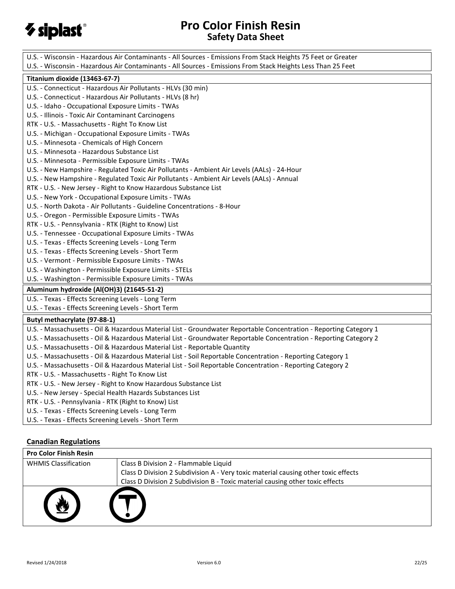

| U.S. - Wisconsin - Hazardous Air Contaminants - All Sources - Emissions From Stack Heights 75 Feet or Greater      |
|--------------------------------------------------------------------------------------------------------------------|
| U.S. - Wisconsin - Hazardous Air Contaminants - All Sources - Emissions From Stack Heights Less Than 25 Feet       |
| Titanium dioxide (13463-67-7)                                                                                      |
| U.S. - Connecticut - Hazardous Air Pollutants - HLVs (30 min)                                                      |
| U.S. - Connecticut - Hazardous Air Pollutants - HLVs (8 hr)                                                        |
| U.S. - Idaho - Occupational Exposure Limits - TWAs                                                                 |
| U.S. - Illinois - Toxic Air Contaminant Carcinogens                                                                |
| RTK - U.S. - Massachusetts - Right To Know List                                                                    |
| U.S. - Michigan - Occupational Exposure Limits - TWAs                                                              |
| U.S. - Minnesota - Chemicals of High Concern                                                                       |
| U.S. - Minnesota - Hazardous Substance List                                                                        |
| U.S. - Minnesota - Permissible Exposure Limits - TWAs                                                              |
| U.S. - New Hampshire - Regulated Toxic Air Pollutants - Ambient Air Levels (AALs) - 24-Hour                        |
| U.S. - New Hampshire - Regulated Toxic Air Pollutants - Ambient Air Levels (AALs) - Annual                         |
| RTK - U.S. - New Jersey - Right to Know Hazardous Substance List                                                   |
| U.S. - New York - Occupational Exposure Limits - TWAs                                                              |
| U.S. - North Dakota - Air Pollutants - Guideline Concentrations - 8-Hour                                           |
| U.S. - Oregon - Permissible Exposure Limits - TWAs                                                                 |
| RTK - U.S. - Pennsylvania - RTK (Right to Know) List                                                               |
| U.S. - Tennessee - Occupational Exposure Limits - TWAs                                                             |
| U.S. - Texas - Effects Screening Levels - Long Term                                                                |
| U.S. - Texas - Effects Screening Levels - Short Term                                                               |
| U.S. - Vermont - Permissible Exposure Limits - TWAs                                                                |
| U.S. - Washington - Permissible Exposure Limits - STELs                                                            |
| U.S. - Washington - Permissible Exposure Limits - TWAs                                                             |
| Aluminum hydroxide (Al(OH)3) (21645-51-2)                                                                          |
| U.S. - Texas - Effects Screening Levels - Long Term                                                                |
| U.S. - Texas - Effects Screening Levels - Short Term                                                               |
| Butyl methacrylate (97-88-1)                                                                                       |
| U.S. - Massachusetts - Oil & Hazardous Material List - Groundwater Reportable Concentration - Reporting Category 1 |
| U.S. - Massachusetts - Oil & Hazardous Material List - Groundwater Reportable Concentration - Reporting Category 2 |
| U.S. - Massachusetts - Oil & Hazardous Material List - Reportable Quantity                                         |
| U.S. - Massachusetts - Oil & Hazardous Material List - Soil Reportable Concentration - Reporting Category 1        |
| U.S. - Massachusetts - Oil & Hazardous Material List - Soil Reportable Concentration - Reporting Category 2        |
| RTK - U.S. - Massachusetts - Right To Know List                                                                    |
| RTK - U.S. - New Jersey - Right to Know Hazardous Substance List                                                   |
| U.S. - New Jersey - Special Health Hazards Substances List                                                         |
| RTK - U.S. - Pennsylvania - RTK (Right to Know) List                                                               |
| U.S. - Texas - Effects Screening Levels - Long Term                                                                |
| U.S. - Texas - Effects Screening Levels - Short Term                                                               |

## **Canadian Regulations**

| <b>Pro Color Finish Resin</b> |                                                                                    |
|-------------------------------|------------------------------------------------------------------------------------|
| <b>WHMIS Classification</b>   | Class B Division 2 - Flammable Liquid                                              |
|                               | Class D Division 2 Subdivision A - Very toxic material causing other toxic effects |
|                               | Class D Division 2 Subdivision B - Toxic material causing other toxic effects      |
|                               |                                                                                    |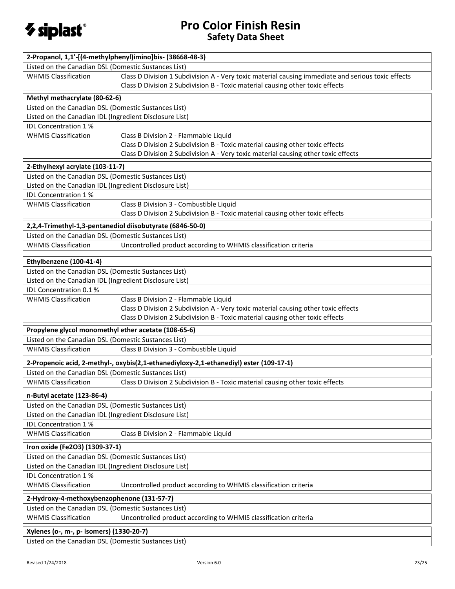

| Listed on the Canadian DSL (Domestic Sustances List)<br><b>WHMIS Classification</b><br>Class D Division 1 Subdivision A - Very toxic material causing immediate and serious toxic effects<br>Class D Division 2 Subdivision B - Toxic material causing other toxic effects<br>Methyl methacrylate (80-62-6)<br>Listed on the Canadian DSL (Domestic Sustances List)<br>Listed on the Canadian IDL (Ingredient Disclosure List)<br>IDL Concentration 1%<br><b>WHMIS Classification</b><br>Class B Division 2 - Flammable Liquid<br>Class D Division 2 Subdivision B - Toxic material causing other toxic effects<br>Class D Division 2 Subdivision A - Very toxic material causing other toxic effects<br>2-Ethylhexyl acrylate (103-11-7)<br>Listed on the Canadian DSL (Domestic Sustances List)<br>Listed on the Canadian IDL (Ingredient Disclosure List)<br>IDL Concentration 1%<br>Class B Division 3 - Combustible Liquid<br><b>WHMIS Classification</b><br>Class D Division 2 Subdivision B - Toxic material causing other toxic effects<br>2,2,4-Trimethyl-1,3-pentanediol diisobutyrate (6846-50-0)<br>Listed on the Canadian DSL (Domestic Sustances List)<br><b>WHMIS Classification</b><br>Uncontrolled product according to WHMIS classification criteria<br>Ethylbenzene (100-41-4)<br>Listed on the Canadian DSL (Domestic Sustances List)<br>Listed on the Canadian IDL (Ingredient Disclosure List)<br>IDL Concentration 0.1 %<br>Class B Division 2 - Flammable Liquid<br><b>WHMIS Classification</b><br>Class D Division 2 Subdivision A - Very toxic material causing other toxic effects<br>Class D Division 2 Subdivision B - Toxic material causing other toxic effects<br>Propylene glycol monomethyl ether acetate (108-65-6)<br>Listed on the Canadian DSL (Domestic Sustances List)<br>Class B Division 3 - Combustible Liquid<br><b>WHMIS Classification</b><br>2-Propenoic acid, 2-methyl-, oxybis(2,1-ethanediyloxy-2,1-ethanediyl) ester (109-17-1)<br>Listed on the Canadian DSL (Domestic Sustances List)<br><b>WHMIS Classification</b><br>Class D Division 2 Subdivision B - Toxic material causing other toxic effects<br>n-Butyl acetate (123-86-4)<br>Listed on the Canadian DSL (Domestic Sustances List)<br>Listed on the Canadian IDL (Ingredient Disclosure List)<br>IDL Concentration 1%<br><b>WHMIS Classification</b><br>Class B Division 2 - Flammable Liquid<br>Iron oxide (Fe2O3) (1309-37-1)<br>Listed on the Canadian DSL (Domestic Sustances List)<br>Listed on the Canadian IDL (Ingredient Disclosure List)<br>IDL Concentration 1%<br><b>WHMIS Classification</b><br>Uncontrolled product according to WHMIS classification criteria<br>2-Hydroxy-4-methoxybenzophenone (131-57-7)<br>Listed on the Canadian DSL (Domestic Sustances List)<br><b>WHMIS Classification</b><br>Uncontrolled product according to WHMIS classification criteria<br>Xylenes (o-, m-, p- isomers) (1330-20-7)<br>Listed on the Canadian DSL (Domestic Sustances List) | 2-Propanol, 1,1'-[(4-methylphenyl)imino]bis- (38668-48-3) |  |  |  |  |
|--------------------------------------------------------------------------------------------------------------------------------------------------------------------------------------------------------------------------------------------------------------------------------------------------------------------------------------------------------------------------------------------------------------------------------------------------------------------------------------------------------------------------------------------------------------------------------------------------------------------------------------------------------------------------------------------------------------------------------------------------------------------------------------------------------------------------------------------------------------------------------------------------------------------------------------------------------------------------------------------------------------------------------------------------------------------------------------------------------------------------------------------------------------------------------------------------------------------------------------------------------------------------------------------------------------------------------------------------------------------------------------------------------------------------------------------------------------------------------------------------------------------------------------------------------------------------------------------------------------------------------------------------------------------------------------------------------------------------------------------------------------------------------------------------------------------------------------------------------------------------------------------------------------------------------------------------------------------------------------------------------------------------------------------------------------------------------------------------------------------------------------------------------------------------------------------------------------------------------------------------------------------------------------------------------------------------------------------------------------------------------------------------------------------------------------------------------------------------------------------------------------------------------------------------------------------------------------------------------------------------------------------------------------------------------------------------------------------------------------------------------------------------------------------------------------------------------------------------------------------------------------------------------------------------------------------------------------------------------------------------------|-----------------------------------------------------------|--|--|--|--|
|                                                                                                                                                                                                                                                                                                                                                                                                                                                                                                                                                                                                                                                                                                                                                                                                                                                                                                                                                                                                                                                                                                                                                                                                                                                                                                                                                                                                                                                                                                                                                                                                                                                                                                                                                                                                                                                                                                                                                                                                                                                                                                                                                                                                                                                                                                                                                                                                                                                                                                                                                                                                                                                                                                                                                                                                                                                                                                                                                                                                        |                                                           |  |  |  |  |
|                                                                                                                                                                                                                                                                                                                                                                                                                                                                                                                                                                                                                                                                                                                                                                                                                                                                                                                                                                                                                                                                                                                                                                                                                                                                                                                                                                                                                                                                                                                                                                                                                                                                                                                                                                                                                                                                                                                                                                                                                                                                                                                                                                                                                                                                                                                                                                                                                                                                                                                                                                                                                                                                                                                                                                                                                                                                                                                                                                                                        |                                                           |  |  |  |  |
|                                                                                                                                                                                                                                                                                                                                                                                                                                                                                                                                                                                                                                                                                                                                                                                                                                                                                                                                                                                                                                                                                                                                                                                                                                                                                                                                                                                                                                                                                                                                                                                                                                                                                                                                                                                                                                                                                                                                                                                                                                                                                                                                                                                                                                                                                                                                                                                                                                                                                                                                                                                                                                                                                                                                                                                                                                                                                                                                                                                                        |                                                           |  |  |  |  |
|                                                                                                                                                                                                                                                                                                                                                                                                                                                                                                                                                                                                                                                                                                                                                                                                                                                                                                                                                                                                                                                                                                                                                                                                                                                                                                                                                                                                                                                                                                                                                                                                                                                                                                                                                                                                                                                                                                                                                                                                                                                                                                                                                                                                                                                                                                                                                                                                                                                                                                                                                                                                                                                                                                                                                                                                                                                                                                                                                                                                        |                                                           |  |  |  |  |
|                                                                                                                                                                                                                                                                                                                                                                                                                                                                                                                                                                                                                                                                                                                                                                                                                                                                                                                                                                                                                                                                                                                                                                                                                                                                                                                                                                                                                                                                                                                                                                                                                                                                                                                                                                                                                                                                                                                                                                                                                                                                                                                                                                                                                                                                                                                                                                                                                                                                                                                                                                                                                                                                                                                                                                                                                                                                                                                                                                                                        |                                                           |  |  |  |  |
|                                                                                                                                                                                                                                                                                                                                                                                                                                                                                                                                                                                                                                                                                                                                                                                                                                                                                                                                                                                                                                                                                                                                                                                                                                                                                                                                                                                                                                                                                                                                                                                                                                                                                                                                                                                                                                                                                                                                                                                                                                                                                                                                                                                                                                                                                                                                                                                                                                                                                                                                                                                                                                                                                                                                                                                                                                                                                                                                                                                                        |                                                           |  |  |  |  |
|                                                                                                                                                                                                                                                                                                                                                                                                                                                                                                                                                                                                                                                                                                                                                                                                                                                                                                                                                                                                                                                                                                                                                                                                                                                                                                                                                                                                                                                                                                                                                                                                                                                                                                                                                                                                                                                                                                                                                                                                                                                                                                                                                                                                                                                                                                                                                                                                                                                                                                                                                                                                                                                                                                                                                                                                                                                                                                                                                                                                        |                                                           |  |  |  |  |
|                                                                                                                                                                                                                                                                                                                                                                                                                                                                                                                                                                                                                                                                                                                                                                                                                                                                                                                                                                                                                                                                                                                                                                                                                                                                                                                                                                                                                                                                                                                                                                                                                                                                                                                                                                                                                                                                                                                                                                                                                                                                                                                                                                                                                                                                                                                                                                                                                                                                                                                                                                                                                                                                                                                                                                                                                                                                                                                                                                                                        |                                                           |  |  |  |  |
|                                                                                                                                                                                                                                                                                                                                                                                                                                                                                                                                                                                                                                                                                                                                                                                                                                                                                                                                                                                                                                                                                                                                                                                                                                                                                                                                                                                                                                                                                                                                                                                                                                                                                                                                                                                                                                                                                                                                                                                                                                                                                                                                                                                                                                                                                                                                                                                                                                                                                                                                                                                                                                                                                                                                                                                                                                                                                                                                                                                                        |                                                           |  |  |  |  |
|                                                                                                                                                                                                                                                                                                                                                                                                                                                                                                                                                                                                                                                                                                                                                                                                                                                                                                                                                                                                                                                                                                                                                                                                                                                                                                                                                                                                                                                                                                                                                                                                                                                                                                                                                                                                                                                                                                                                                                                                                                                                                                                                                                                                                                                                                                                                                                                                                                                                                                                                                                                                                                                                                                                                                                                                                                                                                                                                                                                                        |                                                           |  |  |  |  |
|                                                                                                                                                                                                                                                                                                                                                                                                                                                                                                                                                                                                                                                                                                                                                                                                                                                                                                                                                                                                                                                                                                                                                                                                                                                                                                                                                                                                                                                                                                                                                                                                                                                                                                                                                                                                                                                                                                                                                                                                                                                                                                                                                                                                                                                                                                                                                                                                                                                                                                                                                                                                                                                                                                                                                                                                                                                                                                                                                                                                        |                                                           |  |  |  |  |
|                                                                                                                                                                                                                                                                                                                                                                                                                                                                                                                                                                                                                                                                                                                                                                                                                                                                                                                                                                                                                                                                                                                                                                                                                                                                                                                                                                                                                                                                                                                                                                                                                                                                                                                                                                                                                                                                                                                                                                                                                                                                                                                                                                                                                                                                                                                                                                                                                                                                                                                                                                                                                                                                                                                                                                                                                                                                                                                                                                                                        |                                                           |  |  |  |  |
|                                                                                                                                                                                                                                                                                                                                                                                                                                                                                                                                                                                                                                                                                                                                                                                                                                                                                                                                                                                                                                                                                                                                                                                                                                                                                                                                                                                                                                                                                                                                                                                                                                                                                                                                                                                                                                                                                                                                                                                                                                                                                                                                                                                                                                                                                                                                                                                                                                                                                                                                                                                                                                                                                                                                                                                                                                                                                                                                                                                                        |                                                           |  |  |  |  |
|                                                                                                                                                                                                                                                                                                                                                                                                                                                                                                                                                                                                                                                                                                                                                                                                                                                                                                                                                                                                                                                                                                                                                                                                                                                                                                                                                                                                                                                                                                                                                                                                                                                                                                                                                                                                                                                                                                                                                                                                                                                                                                                                                                                                                                                                                                                                                                                                                                                                                                                                                                                                                                                                                                                                                                                                                                                                                                                                                                                                        |                                                           |  |  |  |  |
|                                                                                                                                                                                                                                                                                                                                                                                                                                                                                                                                                                                                                                                                                                                                                                                                                                                                                                                                                                                                                                                                                                                                                                                                                                                                                                                                                                                                                                                                                                                                                                                                                                                                                                                                                                                                                                                                                                                                                                                                                                                                                                                                                                                                                                                                                                                                                                                                                                                                                                                                                                                                                                                                                                                                                                                                                                                                                                                                                                                                        |                                                           |  |  |  |  |
|                                                                                                                                                                                                                                                                                                                                                                                                                                                                                                                                                                                                                                                                                                                                                                                                                                                                                                                                                                                                                                                                                                                                                                                                                                                                                                                                                                                                                                                                                                                                                                                                                                                                                                                                                                                                                                                                                                                                                                                                                                                                                                                                                                                                                                                                                                                                                                                                                                                                                                                                                                                                                                                                                                                                                                                                                                                                                                                                                                                                        |                                                           |  |  |  |  |
|                                                                                                                                                                                                                                                                                                                                                                                                                                                                                                                                                                                                                                                                                                                                                                                                                                                                                                                                                                                                                                                                                                                                                                                                                                                                                                                                                                                                                                                                                                                                                                                                                                                                                                                                                                                                                                                                                                                                                                                                                                                                                                                                                                                                                                                                                                                                                                                                                                                                                                                                                                                                                                                                                                                                                                                                                                                                                                                                                                                                        |                                                           |  |  |  |  |
|                                                                                                                                                                                                                                                                                                                                                                                                                                                                                                                                                                                                                                                                                                                                                                                                                                                                                                                                                                                                                                                                                                                                                                                                                                                                                                                                                                                                                                                                                                                                                                                                                                                                                                                                                                                                                                                                                                                                                                                                                                                                                                                                                                                                                                                                                                                                                                                                                                                                                                                                                                                                                                                                                                                                                                                                                                                                                                                                                                                                        |                                                           |  |  |  |  |
|                                                                                                                                                                                                                                                                                                                                                                                                                                                                                                                                                                                                                                                                                                                                                                                                                                                                                                                                                                                                                                                                                                                                                                                                                                                                                                                                                                                                                                                                                                                                                                                                                                                                                                                                                                                                                                                                                                                                                                                                                                                                                                                                                                                                                                                                                                                                                                                                                                                                                                                                                                                                                                                                                                                                                                                                                                                                                                                                                                                                        |                                                           |  |  |  |  |
|                                                                                                                                                                                                                                                                                                                                                                                                                                                                                                                                                                                                                                                                                                                                                                                                                                                                                                                                                                                                                                                                                                                                                                                                                                                                                                                                                                                                                                                                                                                                                                                                                                                                                                                                                                                                                                                                                                                                                                                                                                                                                                                                                                                                                                                                                                                                                                                                                                                                                                                                                                                                                                                                                                                                                                                                                                                                                                                                                                                                        |                                                           |  |  |  |  |
|                                                                                                                                                                                                                                                                                                                                                                                                                                                                                                                                                                                                                                                                                                                                                                                                                                                                                                                                                                                                                                                                                                                                                                                                                                                                                                                                                                                                                                                                                                                                                                                                                                                                                                                                                                                                                                                                                                                                                                                                                                                                                                                                                                                                                                                                                                                                                                                                                                                                                                                                                                                                                                                                                                                                                                                                                                                                                                                                                                                                        |                                                           |  |  |  |  |
|                                                                                                                                                                                                                                                                                                                                                                                                                                                                                                                                                                                                                                                                                                                                                                                                                                                                                                                                                                                                                                                                                                                                                                                                                                                                                                                                                                                                                                                                                                                                                                                                                                                                                                                                                                                                                                                                                                                                                                                                                                                                                                                                                                                                                                                                                                                                                                                                                                                                                                                                                                                                                                                                                                                                                                                                                                                                                                                                                                                                        |                                                           |  |  |  |  |
|                                                                                                                                                                                                                                                                                                                                                                                                                                                                                                                                                                                                                                                                                                                                                                                                                                                                                                                                                                                                                                                                                                                                                                                                                                                                                                                                                                                                                                                                                                                                                                                                                                                                                                                                                                                                                                                                                                                                                                                                                                                                                                                                                                                                                                                                                                                                                                                                                                                                                                                                                                                                                                                                                                                                                                                                                                                                                                                                                                                                        |                                                           |  |  |  |  |
|                                                                                                                                                                                                                                                                                                                                                                                                                                                                                                                                                                                                                                                                                                                                                                                                                                                                                                                                                                                                                                                                                                                                                                                                                                                                                                                                                                                                                                                                                                                                                                                                                                                                                                                                                                                                                                                                                                                                                                                                                                                                                                                                                                                                                                                                                                                                                                                                                                                                                                                                                                                                                                                                                                                                                                                                                                                                                                                                                                                                        |                                                           |  |  |  |  |
|                                                                                                                                                                                                                                                                                                                                                                                                                                                                                                                                                                                                                                                                                                                                                                                                                                                                                                                                                                                                                                                                                                                                                                                                                                                                                                                                                                                                                                                                                                                                                                                                                                                                                                                                                                                                                                                                                                                                                                                                                                                                                                                                                                                                                                                                                                                                                                                                                                                                                                                                                                                                                                                                                                                                                                                                                                                                                                                                                                                                        |                                                           |  |  |  |  |
|                                                                                                                                                                                                                                                                                                                                                                                                                                                                                                                                                                                                                                                                                                                                                                                                                                                                                                                                                                                                                                                                                                                                                                                                                                                                                                                                                                                                                                                                                                                                                                                                                                                                                                                                                                                                                                                                                                                                                                                                                                                                                                                                                                                                                                                                                                                                                                                                                                                                                                                                                                                                                                                                                                                                                                                                                                                                                                                                                                                                        |                                                           |  |  |  |  |
|                                                                                                                                                                                                                                                                                                                                                                                                                                                                                                                                                                                                                                                                                                                                                                                                                                                                                                                                                                                                                                                                                                                                                                                                                                                                                                                                                                                                                                                                                                                                                                                                                                                                                                                                                                                                                                                                                                                                                                                                                                                                                                                                                                                                                                                                                                                                                                                                                                                                                                                                                                                                                                                                                                                                                                                                                                                                                                                                                                                                        |                                                           |  |  |  |  |
|                                                                                                                                                                                                                                                                                                                                                                                                                                                                                                                                                                                                                                                                                                                                                                                                                                                                                                                                                                                                                                                                                                                                                                                                                                                                                                                                                                                                                                                                                                                                                                                                                                                                                                                                                                                                                                                                                                                                                                                                                                                                                                                                                                                                                                                                                                                                                                                                                                                                                                                                                                                                                                                                                                                                                                                                                                                                                                                                                                                                        |                                                           |  |  |  |  |
|                                                                                                                                                                                                                                                                                                                                                                                                                                                                                                                                                                                                                                                                                                                                                                                                                                                                                                                                                                                                                                                                                                                                                                                                                                                                                                                                                                                                                                                                                                                                                                                                                                                                                                                                                                                                                                                                                                                                                                                                                                                                                                                                                                                                                                                                                                                                                                                                                                                                                                                                                                                                                                                                                                                                                                                                                                                                                                                                                                                                        |                                                           |  |  |  |  |
|                                                                                                                                                                                                                                                                                                                                                                                                                                                                                                                                                                                                                                                                                                                                                                                                                                                                                                                                                                                                                                                                                                                                                                                                                                                                                                                                                                                                                                                                                                                                                                                                                                                                                                                                                                                                                                                                                                                                                                                                                                                                                                                                                                                                                                                                                                                                                                                                                                                                                                                                                                                                                                                                                                                                                                                                                                                                                                                                                                                                        |                                                           |  |  |  |  |
|                                                                                                                                                                                                                                                                                                                                                                                                                                                                                                                                                                                                                                                                                                                                                                                                                                                                                                                                                                                                                                                                                                                                                                                                                                                                                                                                                                                                                                                                                                                                                                                                                                                                                                                                                                                                                                                                                                                                                                                                                                                                                                                                                                                                                                                                                                                                                                                                                                                                                                                                                                                                                                                                                                                                                                                                                                                                                                                                                                                                        |                                                           |  |  |  |  |
|                                                                                                                                                                                                                                                                                                                                                                                                                                                                                                                                                                                                                                                                                                                                                                                                                                                                                                                                                                                                                                                                                                                                                                                                                                                                                                                                                                                                                                                                                                                                                                                                                                                                                                                                                                                                                                                                                                                                                                                                                                                                                                                                                                                                                                                                                                                                                                                                                                                                                                                                                                                                                                                                                                                                                                                                                                                                                                                                                                                                        |                                                           |  |  |  |  |
|                                                                                                                                                                                                                                                                                                                                                                                                                                                                                                                                                                                                                                                                                                                                                                                                                                                                                                                                                                                                                                                                                                                                                                                                                                                                                                                                                                                                                                                                                                                                                                                                                                                                                                                                                                                                                                                                                                                                                                                                                                                                                                                                                                                                                                                                                                                                                                                                                                                                                                                                                                                                                                                                                                                                                                                                                                                                                                                                                                                                        |                                                           |  |  |  |  |
|                                                                                                                                                                                                                                                                                                                                                                                                                                                                                                                                                                                                                                                                                                                                                                                                                                                                                                                                                                                                                                                                                                                                                                                                                                                                                                                                                                                                                                                                                                                                                                                                                                                                                                                                                                                                                                                                                                                                                                                                                                                                                                                                                                                                                                                                                                                                                                                                                                                                                                                                                                                                                                                                                                                                                                                                                                                                                                                                                                                                        |                                                           |  |  |  |  |
|                                                                                                                                                                                                                                                                                                                                                                                                                                                                                                                                                                                                                                                                                                                                                                                                                                                                                                                                                                                                                                                                                                                                                                                                                                                                                                                                                                                                                                                                                                                                                                                                                                                                                                                                                                                                                                                                                                                                                                                                                                                                                                                                                                                                                                                                                                                                                                                                                                                                                                                                                                                                                                                                                                                                                                                                                                                                                                                                                                                                        |                                                           |  |  |  |  |
|                                                                                                                                                                                                                                                                                                                                                                                                                                                                                                                                                                                                                                                                                                                                                                                                                                                                                                                                                                                                                                                                                                                                                                                                                                                                                                                                                                                                                                                                                                                                                                                                                                                                                                                                                                                                                                                                                                                                                                                                                                                                                                                                                                                                                                                                                                                                                                                                                                                                                                                                                                                                                                                                                                                                                                                                                                                                                                                                                                                                        |                                                           |  |  |  |  |
|                                                                                                                                                                                                                                                                                                                                                                                                                                                                                                                                                                                                                                                                                                                                                                                                                                                                                                                                                                                                                                                                                                                                                                                                                                                                                                                                                                                                                                                                                                                                                                                                                                                                                                                                                                                                                                                                                                                                                                                                                                                                                                                                                                                                                                                                                                                                                                                                                                                                                                                                                                                                                                                                                                                                                                                                                                                                                                                                                                                                        |                                                           |  |  |  |  |
|                                                                                                                                                                                                                                                                                                                                                                                                                                                                                                                                                                                                                                                                                                                                                                                                                                                                                                                                                                                                                                                                                                                                                                                                                                                                                                                                                                                                                                                                                                                                                                                                                                                                                                                                                                                                                                                                                                                                                                                                                                                                                                                                                                                                                                                                                                                                                                                                                                                                                                                                                                                                                                                                                                                                                                                                                                                                                                                                                                                                        |                                                           |  |  |  |  |
|                                                                                                                                                                                                                                                                                                                                                                                                                                                                                                                                                                                                                                                                                                                                                                                                                                                                                                                                                                                                                                                                                                                                                                                                                                                                                                                                                                                                                                                                                                                                                                                                                                                                                                                                                                                                                                                                                                                                                                                                                                                                                                                                                                                                                                                                                                                                                                                                                                                                                                                                                                                                                                                                                                                                                                                                                                                                                                                                                                                                        |                                                           |  |  |  |  |
|                                                                                                                                                                                                                                                                                                                                                                                                                                                                                                                                                                                                                                                                                                                                                                                                                                                                                                                                                                                                                                                                                                                                                                                                                                                                                                                                                                                                                                                                                                                                                                                                                                                                                                                                                                                                                                                                                                                                                                                                                                                                                                                                                                                                                                                                                                                                                                                                                                                                                                                                                                                                                                                                                                                                                                                                                                                                                                                                                                                                        |                                                           |  |  |  |  |
|                                                                                                                                                                                                                                                                                                                                                                                                                                                                                                                                                                                                                                                                                                                                                                                                                                                                                                                                                                                                                                                                                                                                                                                                                                                                                                                                                                                                                                                                                                                                                                                                                                                                                                                                                                                                                                                                                                                                                                                                                                                                                                                                                                                                                                                                                                                                                                                                                                                                                                                                                                                                                                                                                                                                                                                                                                                                                                                                                                                                        |                                                           |  |  |  |  |
|                                                                                                                                                                                                                                                                                                                                                                                                                                                                                                                                                                                                                                                                                                                                                                                                                                                                                                                                                                                                                                                                                                                                                                                                                                                                                                                                                                                                                                                                                                                                                                                                                                                                                                                                                                                                                                                                                                                                                                                                                                                                                                                                                                                                                                                                                                                                                                                                                                                                                                                                                                                                                                                                                                                                                                                                                                                                                                                                                                                                        |                                                           |  |  |  |  |
|                                                                                                                                                                                                                                                                                                                                                                                                                                                                                                                                                                                                                                                                                                                                                                                                                                                                                                                                                                                                                                                                                                                                                                                                                                                                                                                                                                                                                                                                                                                                                                                                                                                                                                                                                                                                                                                                                                                                                                                                                                                                                                                                                                                                                                                                                                                                                                                                                                                                                                                                                                                                                                                                                                                                                                                                                                                                                                                                                                                                        |                                                           |  |  |  |  |
|                                                                                                                                                                                                                                                                                                                                                                                                                                                                                                                                                                                                                                                                                                                                                                                                                                                                                                                                                                                                                                                                                                                                                                                                                                                                                                                                                                                                                                                                                                                                                                                                                                                                                                                                                                                                                                                                                                                                                                                                                                                                                                                                                                                                                                                                                                                                                                                                                                                                                                                                                                                                                                                                                                                                                                                                                                                                                                                                                                                                        |                                                           |  |  |  |  |
|                                                                                                                                                                                                                                                                                                                                                                                                                                                                                                                                                                                                                                                                                                                                                                                                                                                                                                                                                                                                                                                                                                                                                                                                                                                                                                                                                                                                                                                                                                                                                                                                                                                                                                                                                                                                                                                                                                                                                                                                                                                                                                                                                                                                                                                                                                                                                                                                                                                                                                                                                                                                                                                                                                                                                                                                                                                                                                                                                                                                        |                                                           |  |  |  |  |
|                                                                                                                                                                                                                                                                                                                                                                                                                                                                                                                                                                                                                                                                                                                                                                                                                                                                                                                                                                                                                                                                                                                                                                                                                                                                                                                                                                                                                                                                                                                                                                                                                                                                                                                                                                                                                                                                                                                                                                                                                                                                                                                                                                                                                                                                                                                                                                                                                                                                                                                                                                                                                                                                                                                                                                                                                                                                                                                                                                                                        |                                                           |  |  |  |  |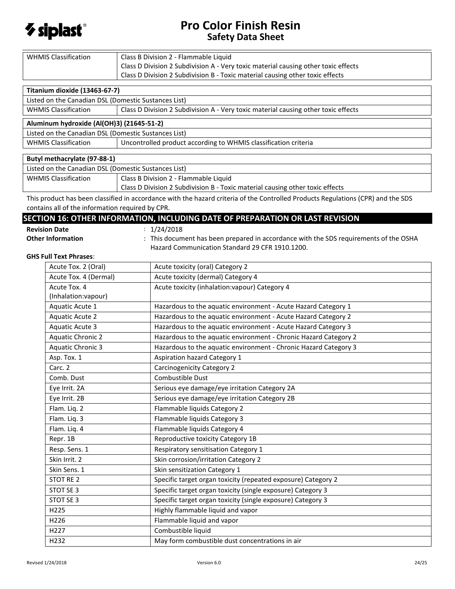

| <b>WHMIS Classification</b>                                                                                                                                                          | Class B Division 2 - Flammable Liquid                                              |  |  |  |  |
|--------------------------------------------------------------------------------------------------------------------------------------------------------------------------------------|------------------------------------------------------------------------------------|--|--|--|--|
|                                                                                                                                                                                      | Class D Division 2 Subdivision A - Very toxic material causing other toxic effects |  |  |  |  |
|                                                                                                                                                                                      | Class D Division 2 Subdivision B - Toxic material causing other toxic effects      |  |  |  |  |
| Titanium dioxide (13463-67-7)                                                                                                                                                        |                                                                                    |  |  |  |  |
| Listed on the Canadian DSL (Domestic Sustances List)                                                                                                                                 |                                                                                    |  |  |  |  |
| <b>WHMIS Classification</b>                                                                                                                                                          | Class D Division 2 Subdivision A - Very toxic material causing other toxic effects |  |  |  |  |
| Aluminum hydroxide (Al(OH)3) (21645-51-2)                                                                                                                                            |                                                                                    |  |  |  |  |
| Listed on the Canadian DSL (Domestic Sustances List)                                                                                                                                 |                                                                                    |  |  |  |  |
| <b>WHMIS Classification</b>                                                                                                                                                          | Uncontrolled product according to WHMIS classification criteria                    |  |  |  |  |
| Butyl methacrylate (97-88-1)                                                                                                                                                         |                                                                                    |  |  |  |  |
| Listed on the Canadian DSL (Domestic Sustances List)                                                                                                                                 |                                                                                    |  |  |  |  |
| <b>WHMIS Classification</b>                                                                                                                                                          | Class B Division 2 - Flammable Liquid                                              |  |  |  |  |
|                                                                                                                                                                                      | Class D Division 2 Subdivision B - Toxic material causing other toxic effects      |  |  |  |  |
| This product has been classified in accordance with the hazard criteria of the Controlled Products Regulations (CPR) and the SDS<br>contains all of the information required by CPR. |                                                                                    |  |  |  |  |

## **SECTION 16: OTHER INFORMATION, INCLUDING DATE OF PREPARATION OR LAST REVISION**

**Revision Date** : 1/24/2018

|  | <b>Revision Date</b> |  |
|--|----------------------|--|
|  | Othau Infannaatia    |  |

Other Information : This document has been prepared in accordance with the SDS requirements of the OSHA Hazard Communication Standard 29 CFR 1910.1200.

#### **GHS Full Text Phrases**:

| Acute Tox. 2 (Oral)                  | Acute toxicity (oral) Category 2                                 |
|--------------------------------------|------------------------------------------------------------------|
| Acute Tox. 4 (Dermal)                | Acute toxicity (dermal) Category 4                               |
| Acute Tox. 4<br>(Inhalation: vapour) | Acute toxicity (inhalation: vapour) Category 4                   |
| Aquatic Acute 1                      | Hazardous to the aquatic environment - Acute Hazard Category 1   |
| <b>Aquatic Acute 2</b>               | Hazardous to the aquatic environment - Acute Hazard Category 2   |
| <b>Aquatic Acute 3</b>               | Hazardous to the aquatic environment - Acute Hazard Category 3   |
| <b>Aquatic Chronic 2</b>             | Hazardous to the aquatic environment - Chronic Hazard Category 2 |
| Aquatic Chronic 3                    | Hazardous to the aquatic environment - Chronic Hazard Category 3 |
| Asp. Tox. 1                          | Aspiration hazard Category 1                                     |
| Carc. 2                              | <b>Carcinogenicity Category 2</b>                                |
| Comb. Dust                           | Combustible Dust                                                 |
| Eye Irrit. 2A                        | Serious eye damage/eye irritation Category 2A                    |
| Eye Irrit. 2B                        | Serious eye damage/eye irritation Category 2B                    |
| Flam. Liq. 2                         | Flammable liquids Category 2                                     |
| Flam. Liq. 3                         | Flammable liquids Category 3                                     |
| Flam. Liq. 4                         | Flammable liquids Category 4                                     |
| Repr. 1B                             | Reproductive toxicity Category 1B                                |
| Resp. Sens. 1                        | Respiratory sensitisation Category 1                             |
| Skin Irrit. 2                        | Skin corrosion/irritation Category 2                             |
| Skin Sens. 1                         | Skin sensitization Category 1                                    |
| <b>STOT RE 2</b>                     | Specific target organ toxicity (repeated exposure) Category 2    |
| STOT SE 3                            | Specific target organ toxicity (single exposure) Category 3      |
| STOT SE 3                            | Specific target organ toxicity (single exposure) Category 3      |
| H225                                 | Highly flammable liquid and vapor                                |
| H226                                 | Flammable liquid and vapor                                       |
| H <sub>227</sub>                     | Combustible liquid                                               |
| H232                                 | May form combustible dust concentrations in air                  |